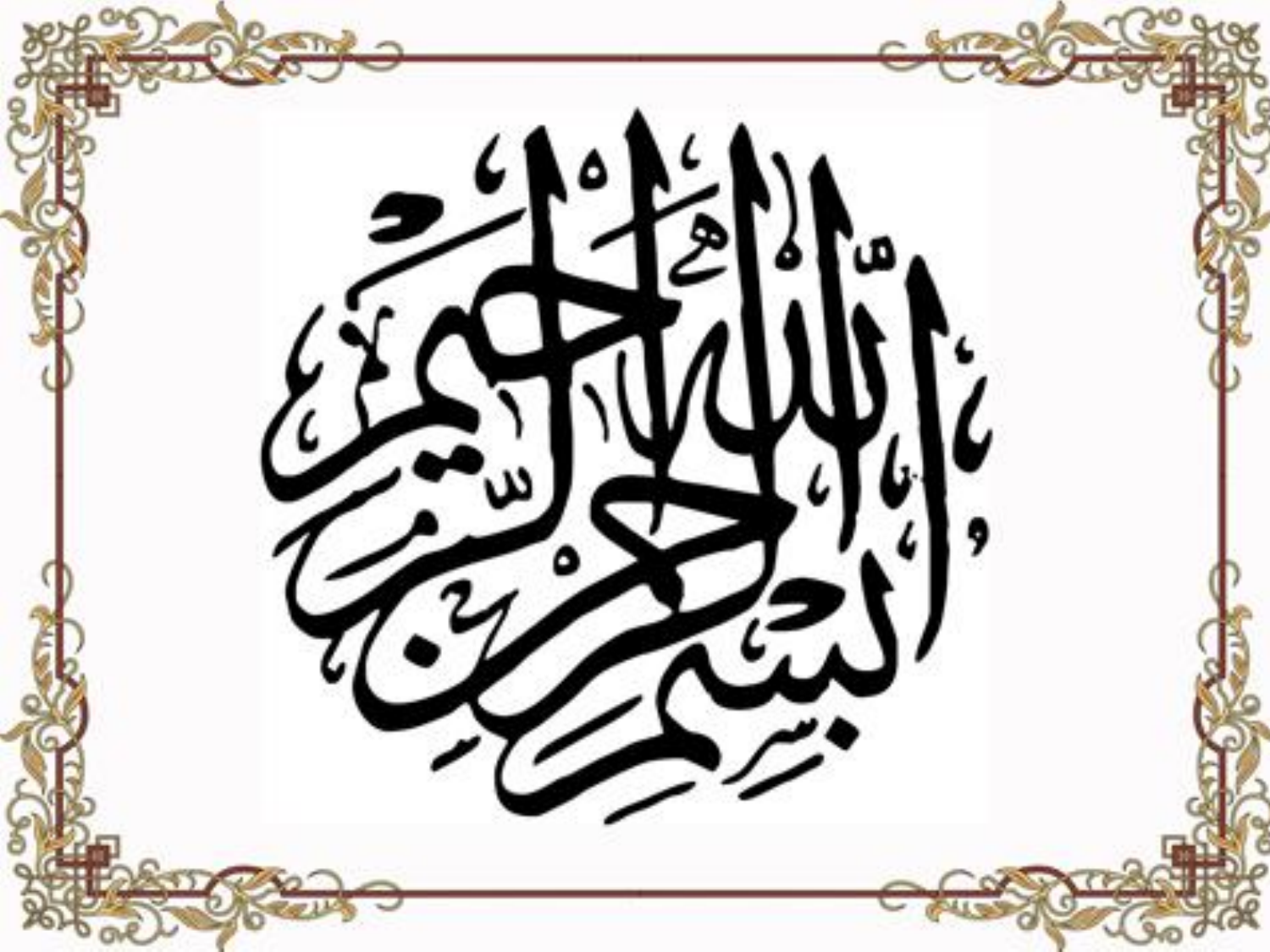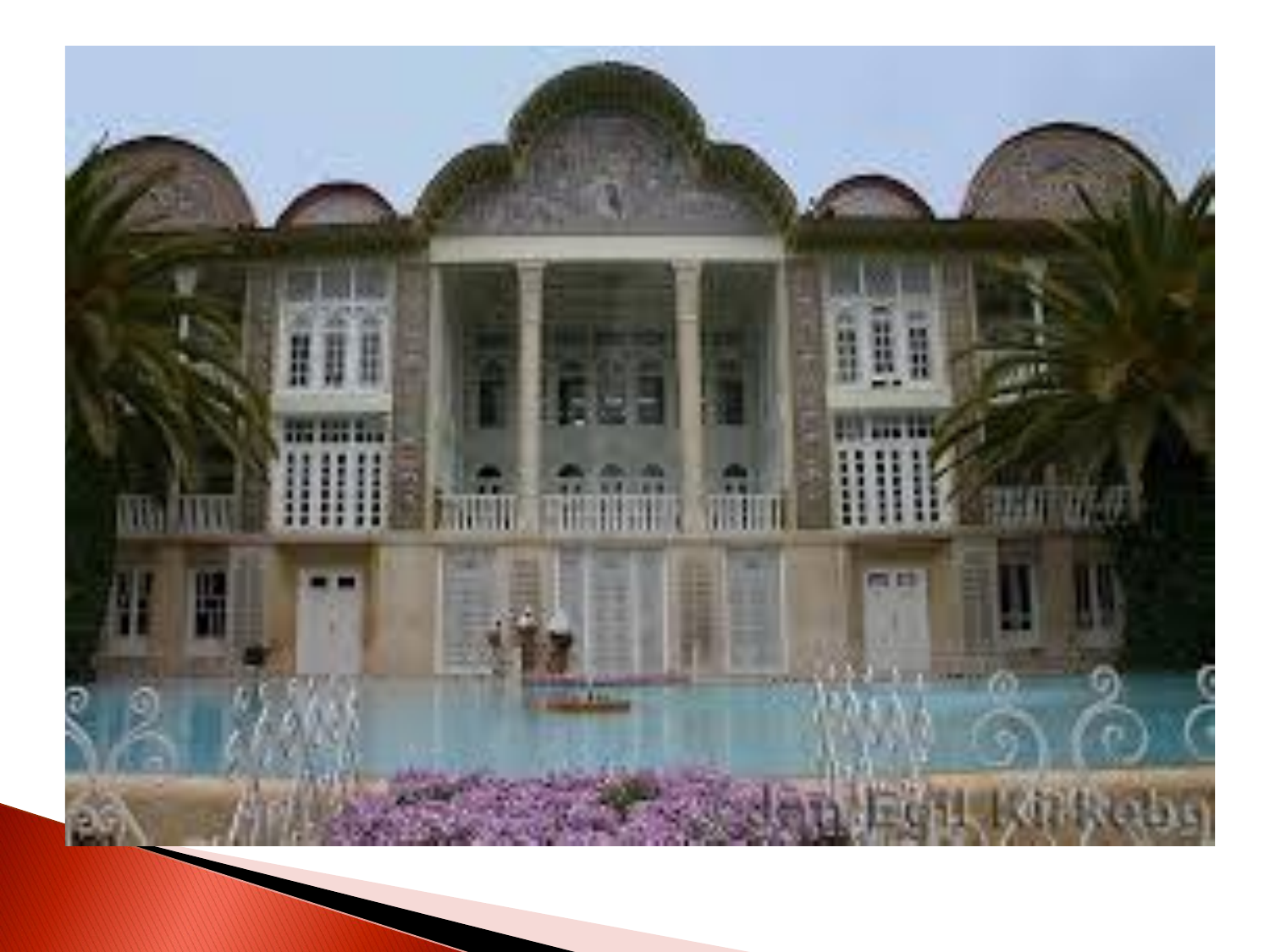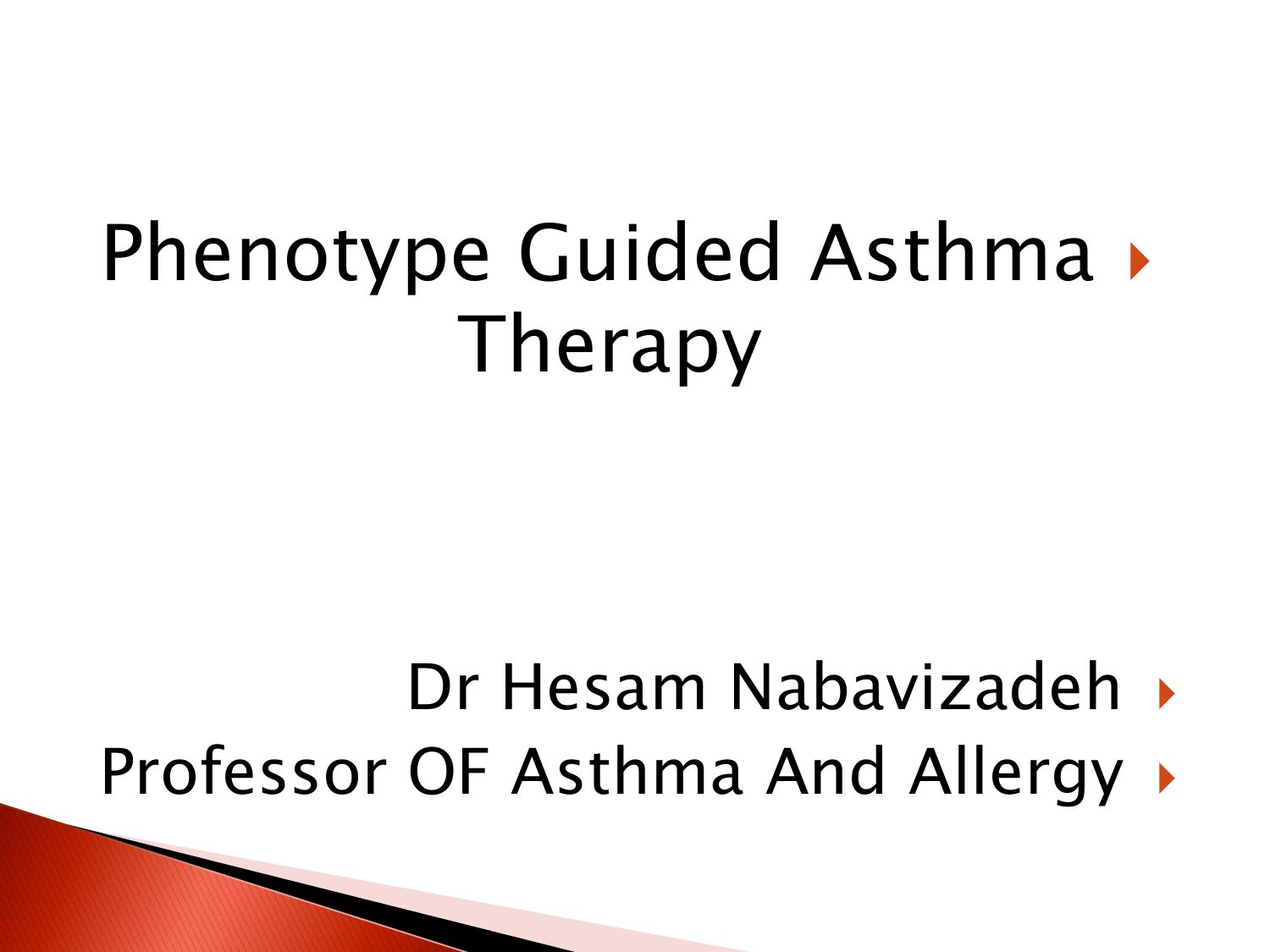## Phenotype Guided Asthma Therapy

#### Dr Hesam Nabavizadeh Professor OF Asthma And Allergy  $\rightarrow$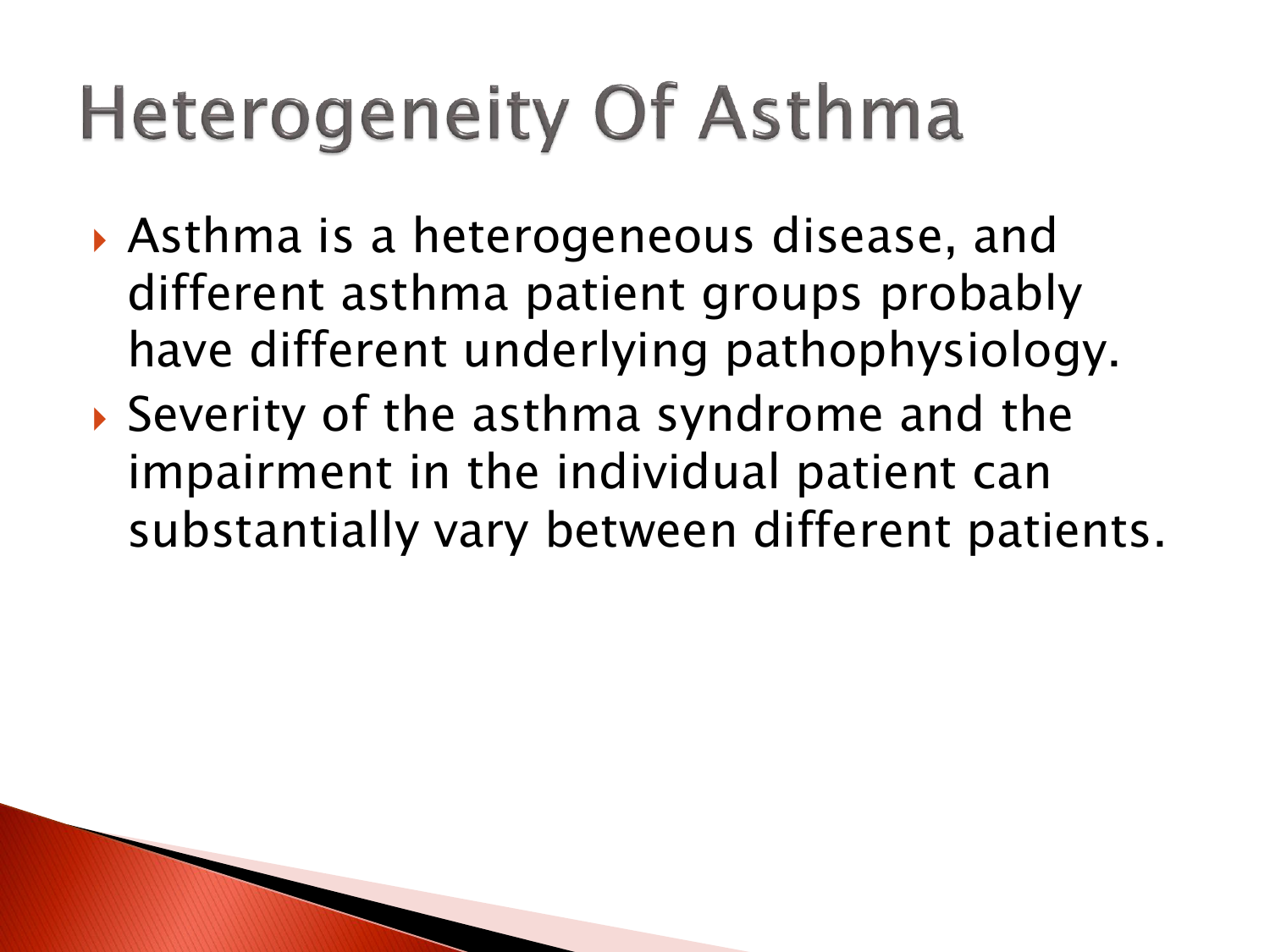## **Heterogeneity Of Asthma**

**The Comment of Comment Comment Comment** 

- Asthma is a heterogeneous disease, and different asthma patient groups probably have different underlying pathophysiology.
- Severity of the asthma syndrome and the impairment in the individual patient can substantially vary between different patients.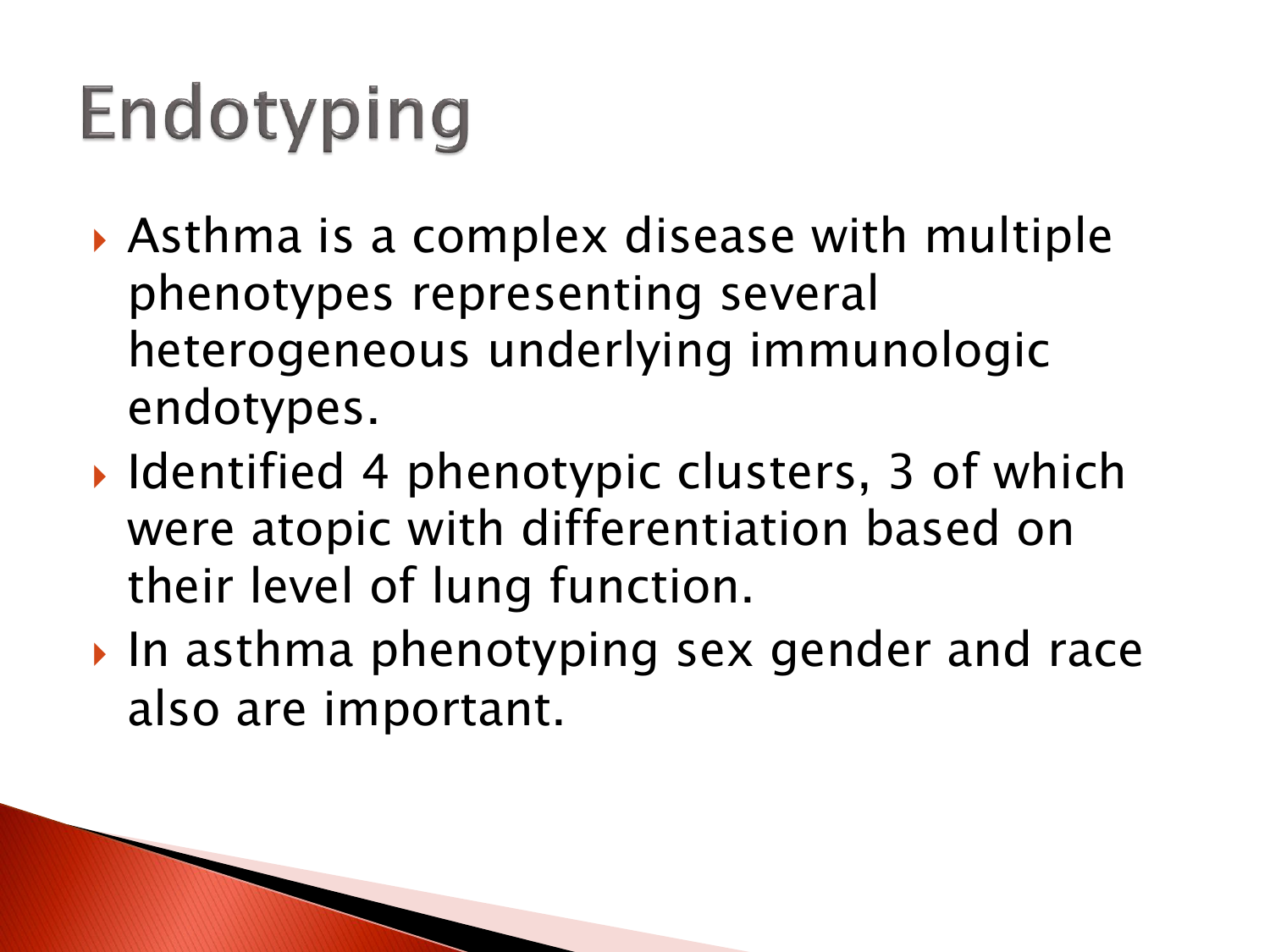## Endotyping

**The Comment of Comment Comment Comment Comment Comment Comment Comment Comment Comment Comment Comment Comment** 

- Asthma is a complex disease with multiple phenotypes representing several heterogeneous underlying immunologic endotypes.
- Identified 4 phenotypic clusters, 3 of which were atopic with differentiation based on their level of lung function.
- In asthma phenotyping sex gender and race also are important.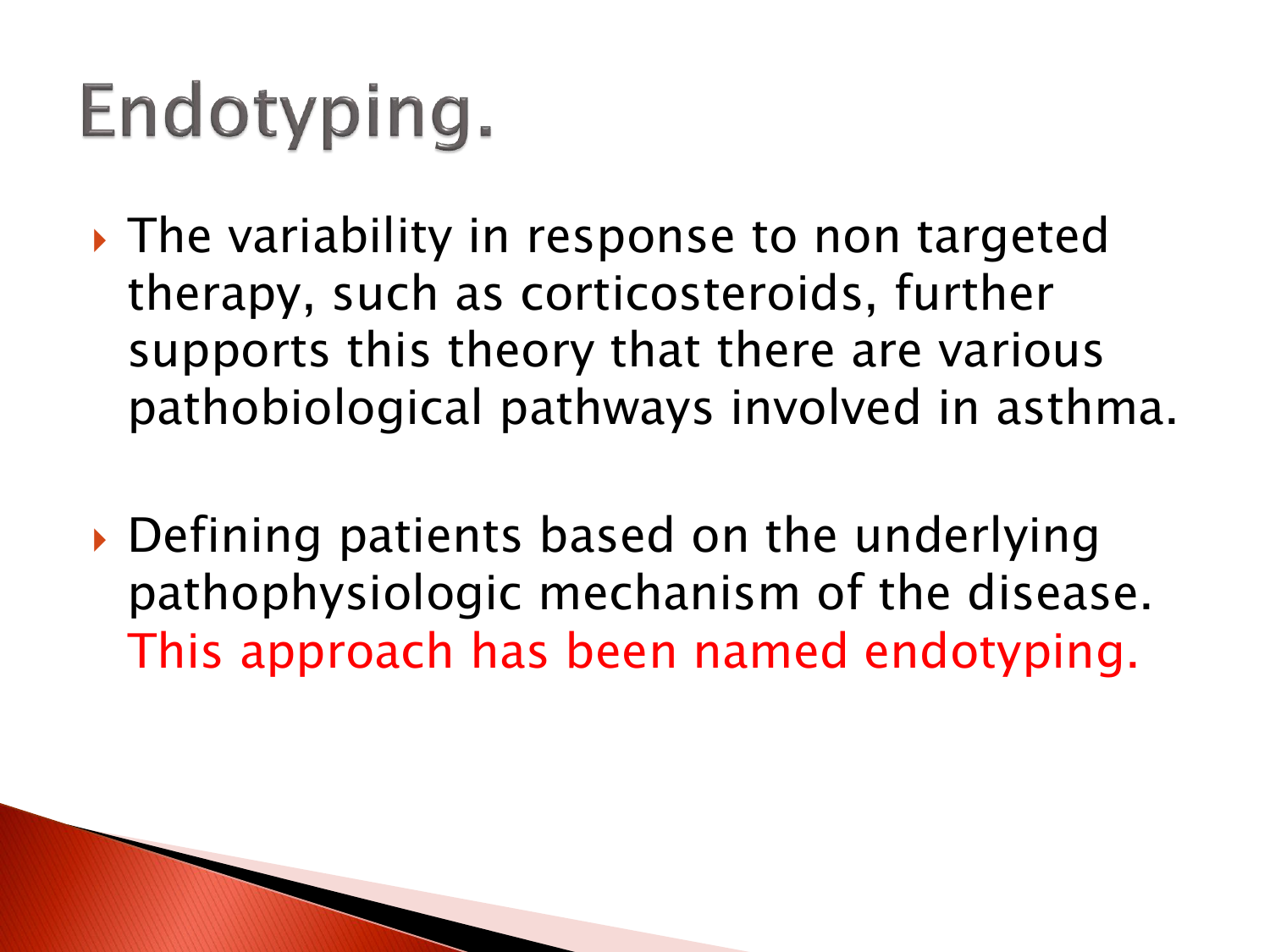## Endotyping.

**The Comment of Comment Comment Comment** 

- ▸ The variability in response to non targeted therapy, such as corticosteroids, further supports this theory that there are various pathobiological pathways involved in asthma.
- Defining patients based on the underlying pathophysiologic mechanism of the disease. This approach has been named endotyping.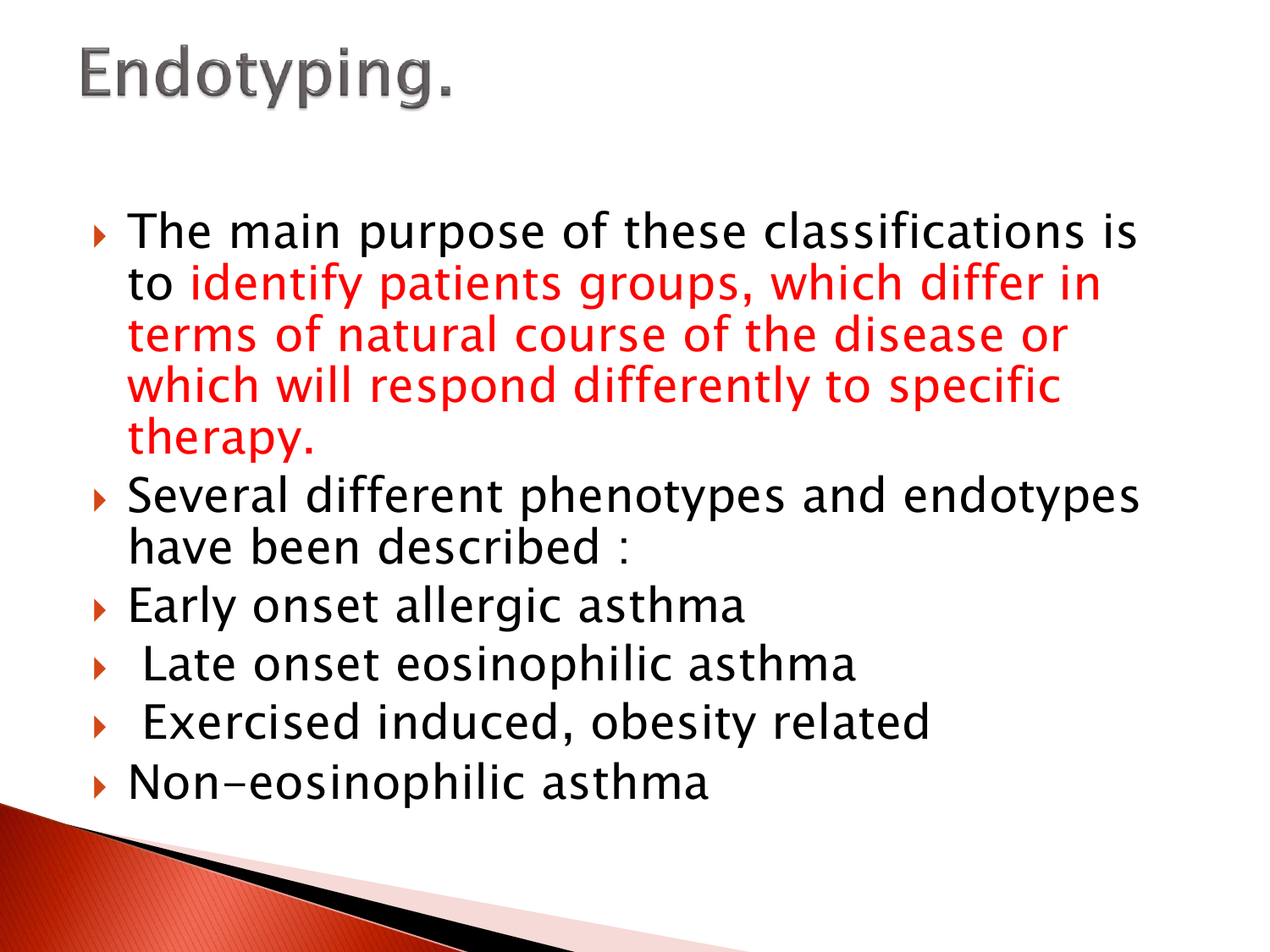#### Endotyping.

- ▸ The main purpose of these classifications is to identify patients groups, which differ in terms of natural course of the disease or which will respond differently to specific therapy.
- Several different phenotypes and endotypes have been described :
- Early onset allergic asthma
- ▶ Late onset eosinophilic asthma
- Exercised induced, obesity related
- ▶ Non-eosinophilic asthma

PARTIES AND RESIDENCE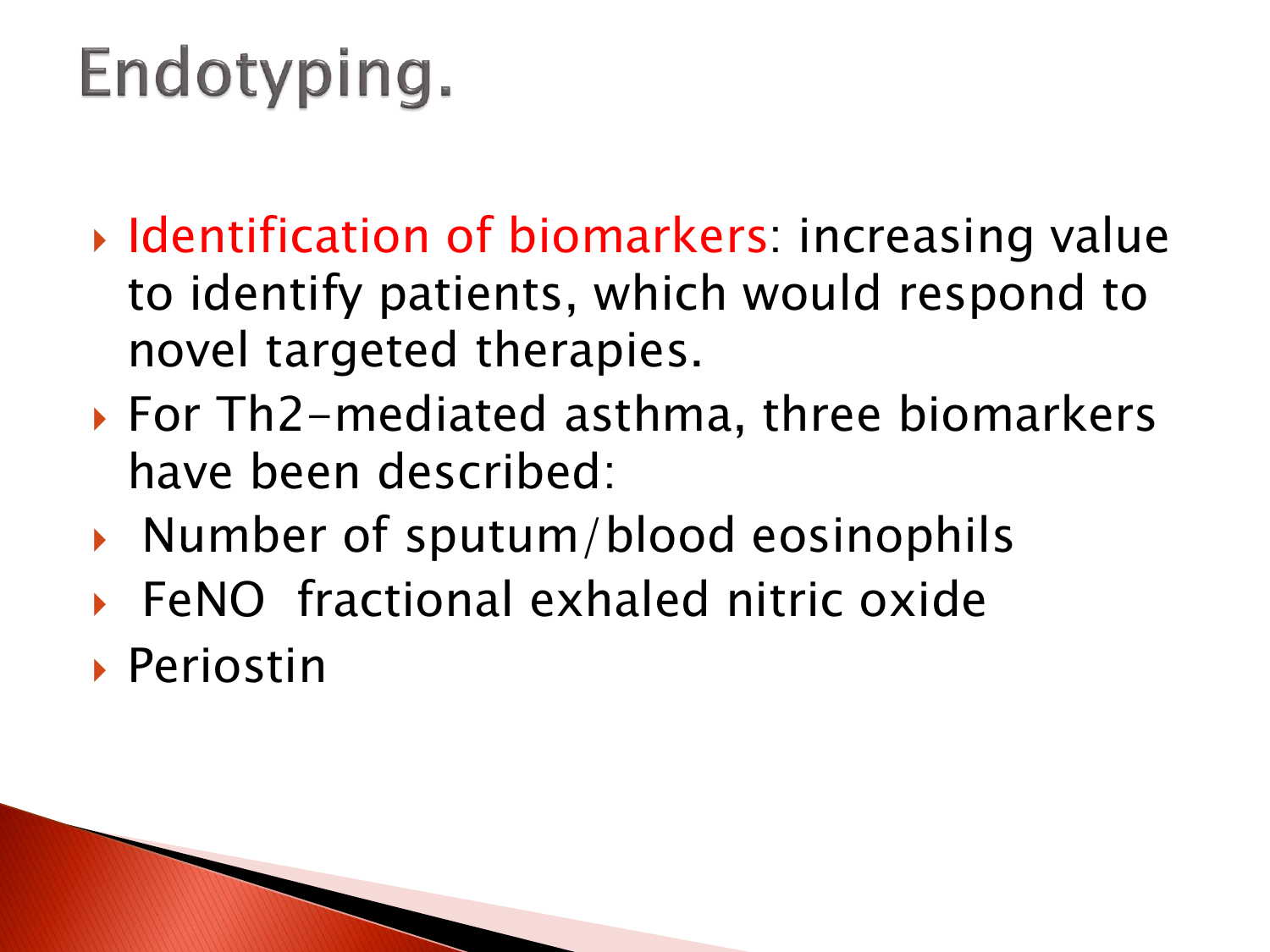#### Endotyping.

- **Identification of biomarkers: increasing value** to identify patients, which would respond to novel targeted therapies.
- For Th2-mediated asthma, three biomarkers have been described:
- $\triangleright$  Number of sputum/blood eosinophils
- FeNO fractional exhaled nitric oxide
- Periostin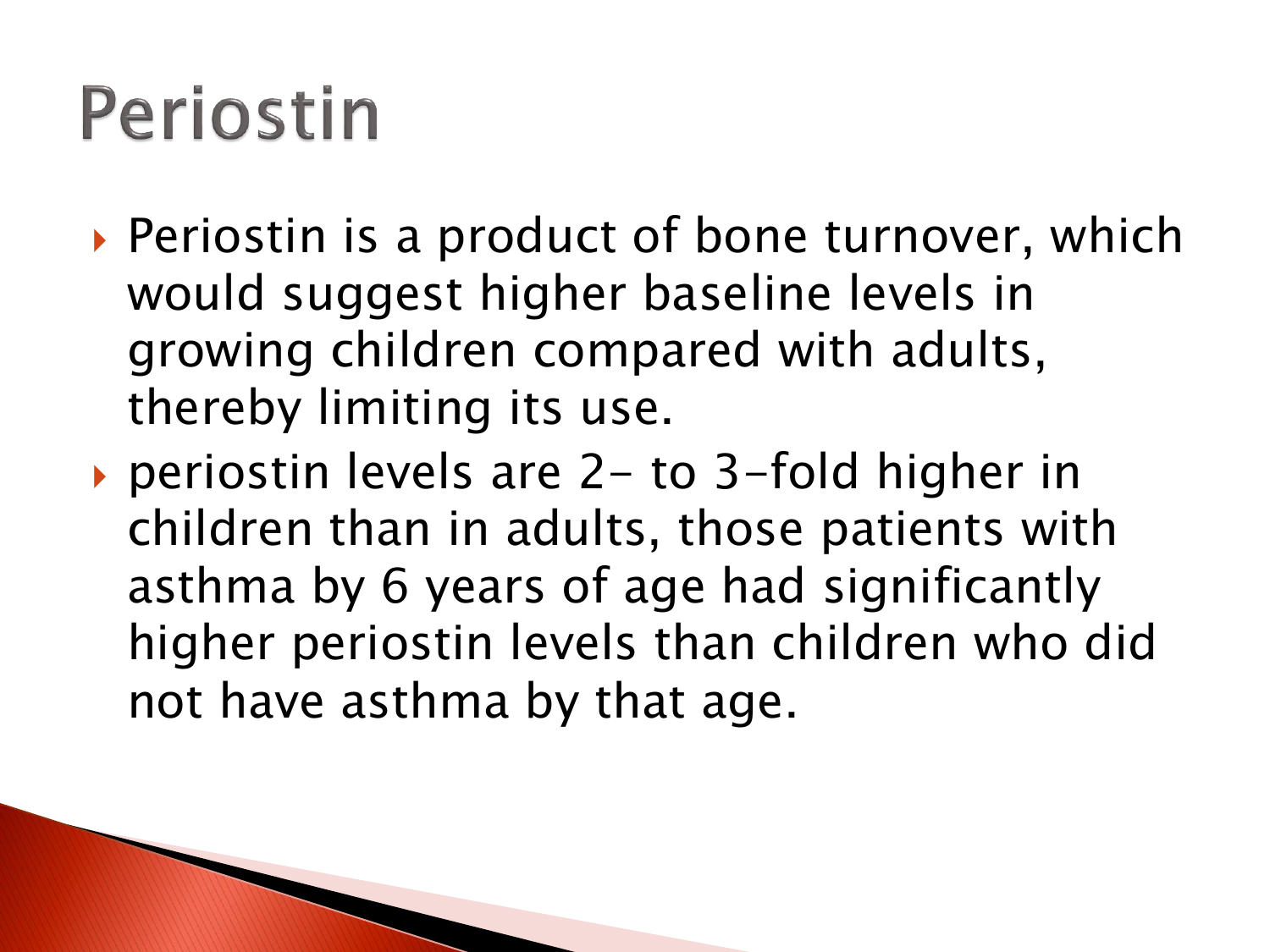## Periostin

**The Common Second Service** 

- ▶ Periostin is a product of bone turnover, which would suggest higher baseline levels in growing children compared with adults, thereby limiting its use.
- ▶ periostin levels are 2- to 3-fold higher in children than in adults, those patients with asthma by 6 years of age had significantly higher periostin levels than children who did not have asthma by that age.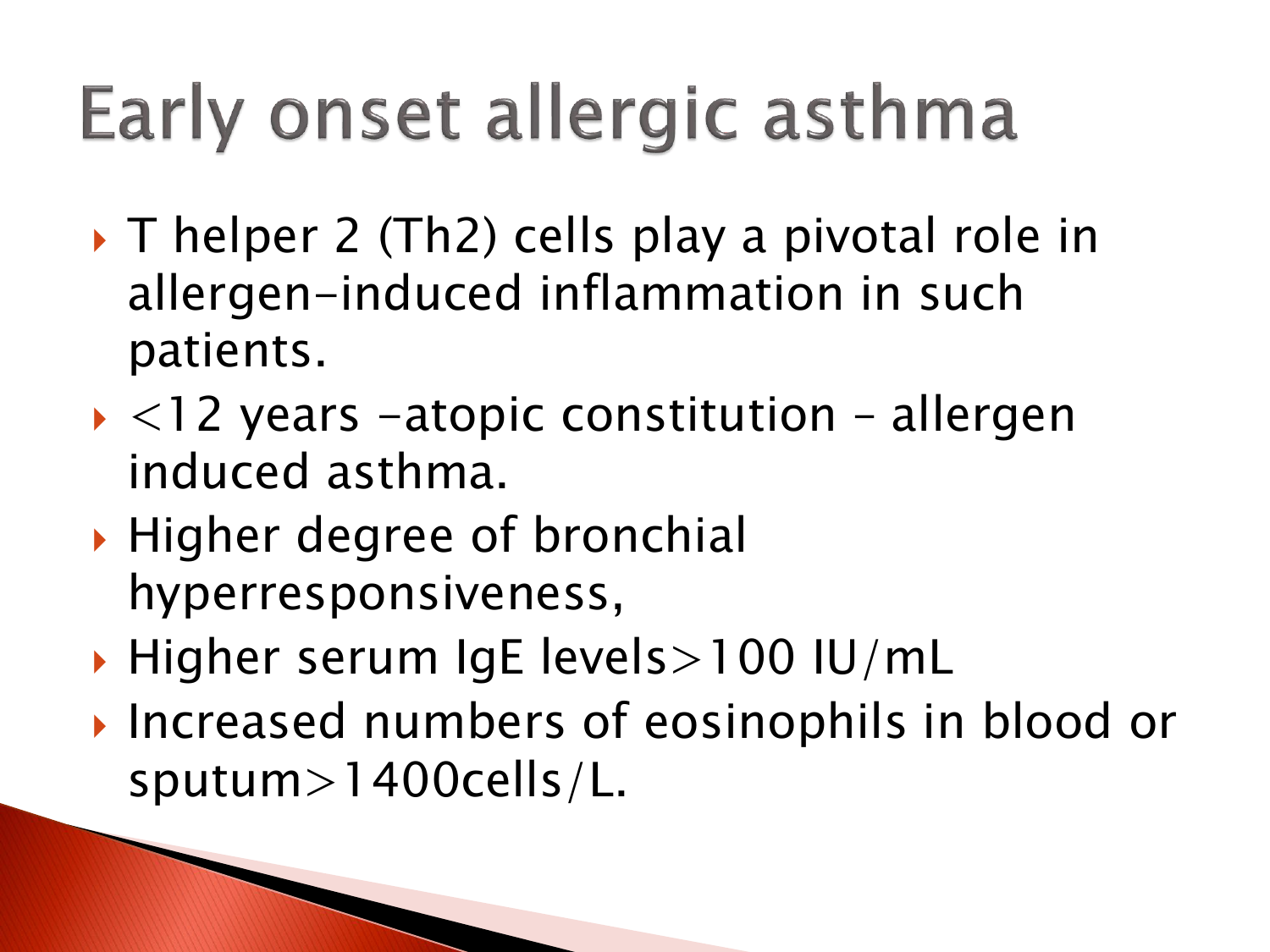## Early onset allergic asthma

- ▶ T helper 2 (Th2) cells play a pivotal role in allergen-induced inflammation in such patients.
- $\rightarrow$  <12 years -atopic constitution allergen induced asthma.
- ▶ Higher degree of bronchial hyperresponsiveness,

PARTY AND THE REAL PROPERTY.

- $\blacktriangleright$  Higher serum IgE levels $>$ 100 IU/mL
- **Increased numbers of eosinophils in blood or** sputum>1400cells/L.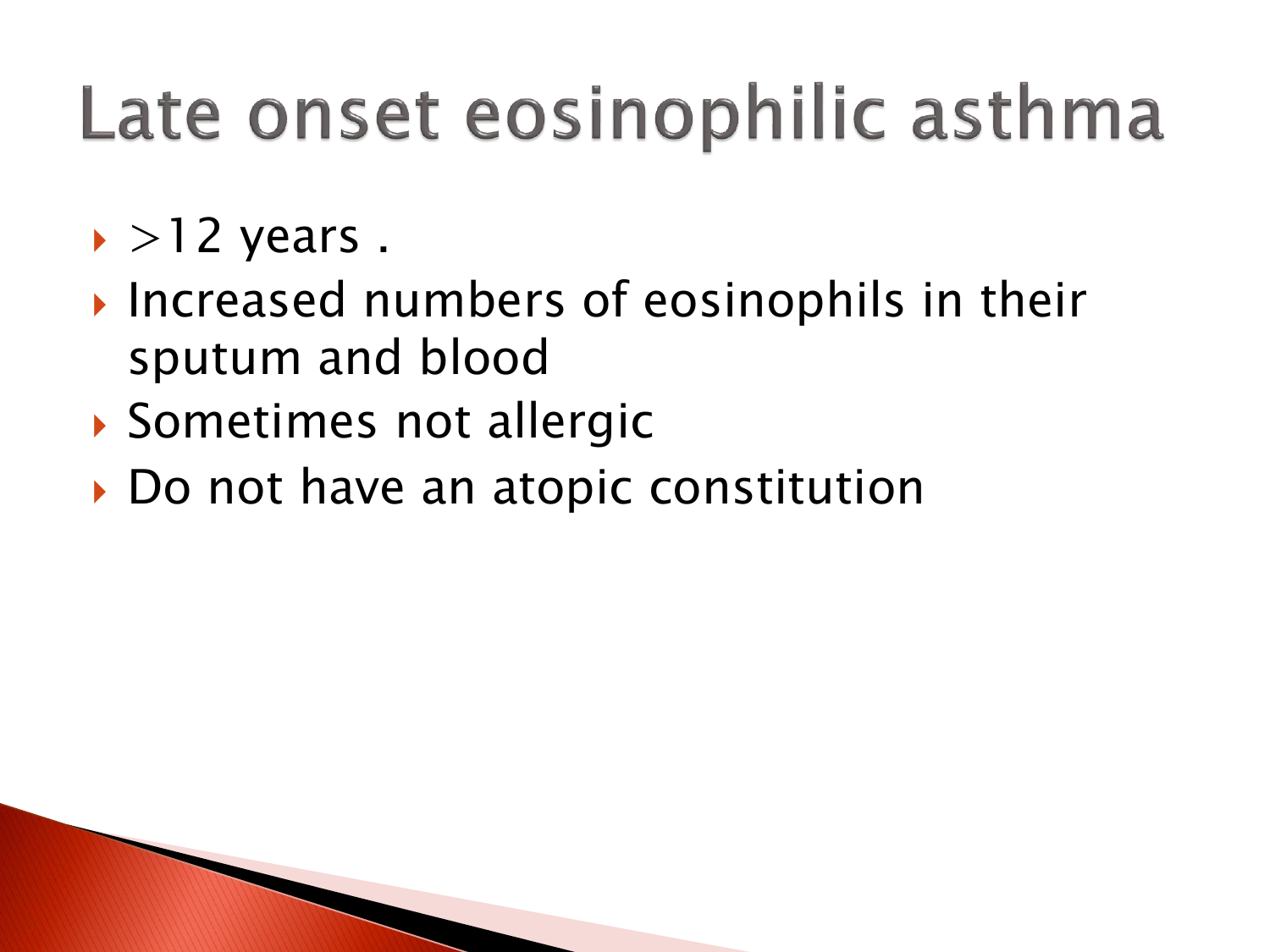## Late onset eosinophilic asthma

- $\rightarrow$ 12 years.
- **Increased numbers of eosinophils in their** sputum and blood
- Sometimes not allergic
- ▶ Do not have an atopic constitution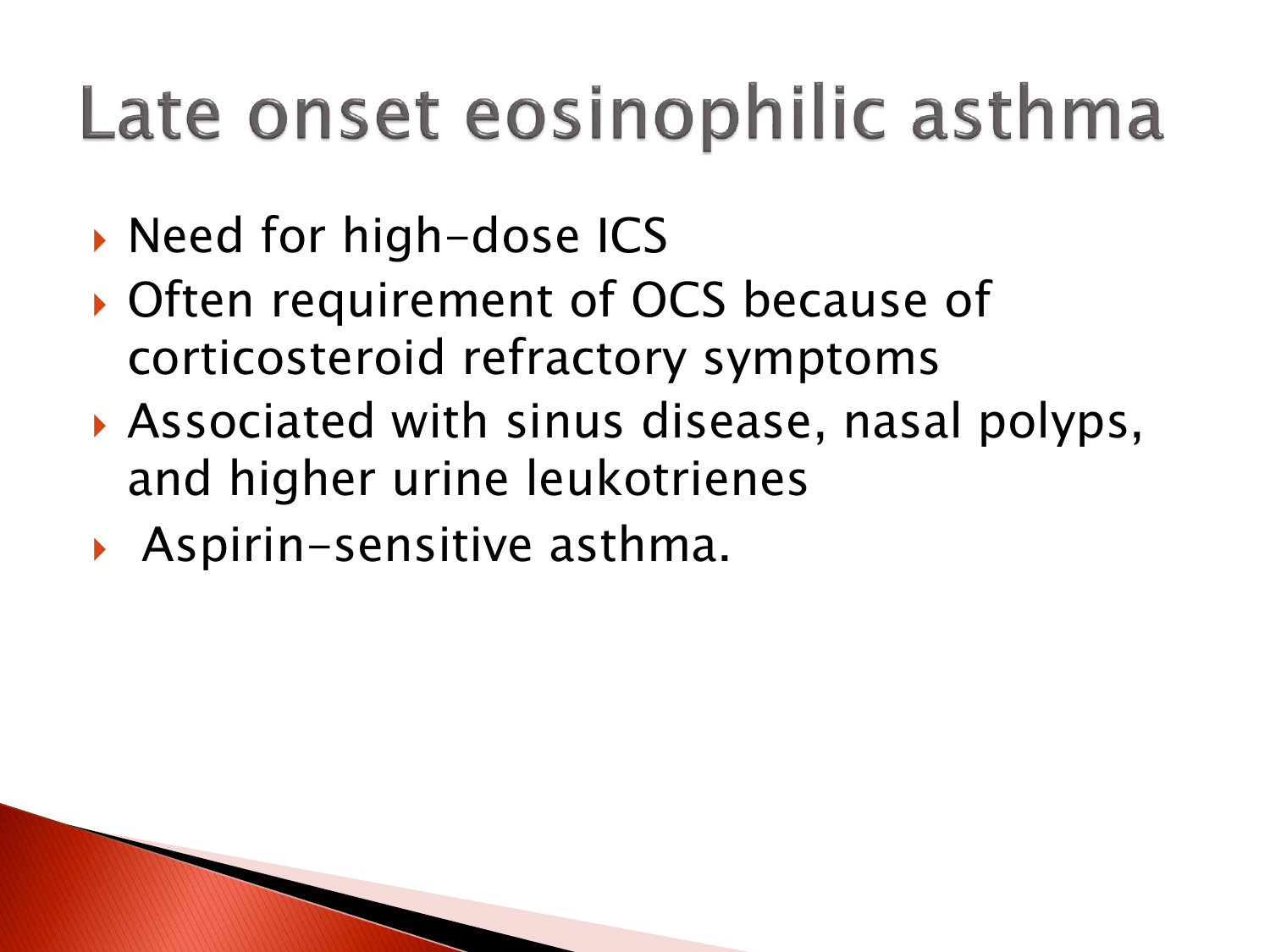#### Late onset eosinophilic asthma

- ▶ Need for high-dose ICS
- ▶ Often requirement of OCS because of corticosteroid refractory symptoms
- Associated with sinus disease, nasal polyps, and higher urine leukotrienes
- Aspirin-sensitive asthma.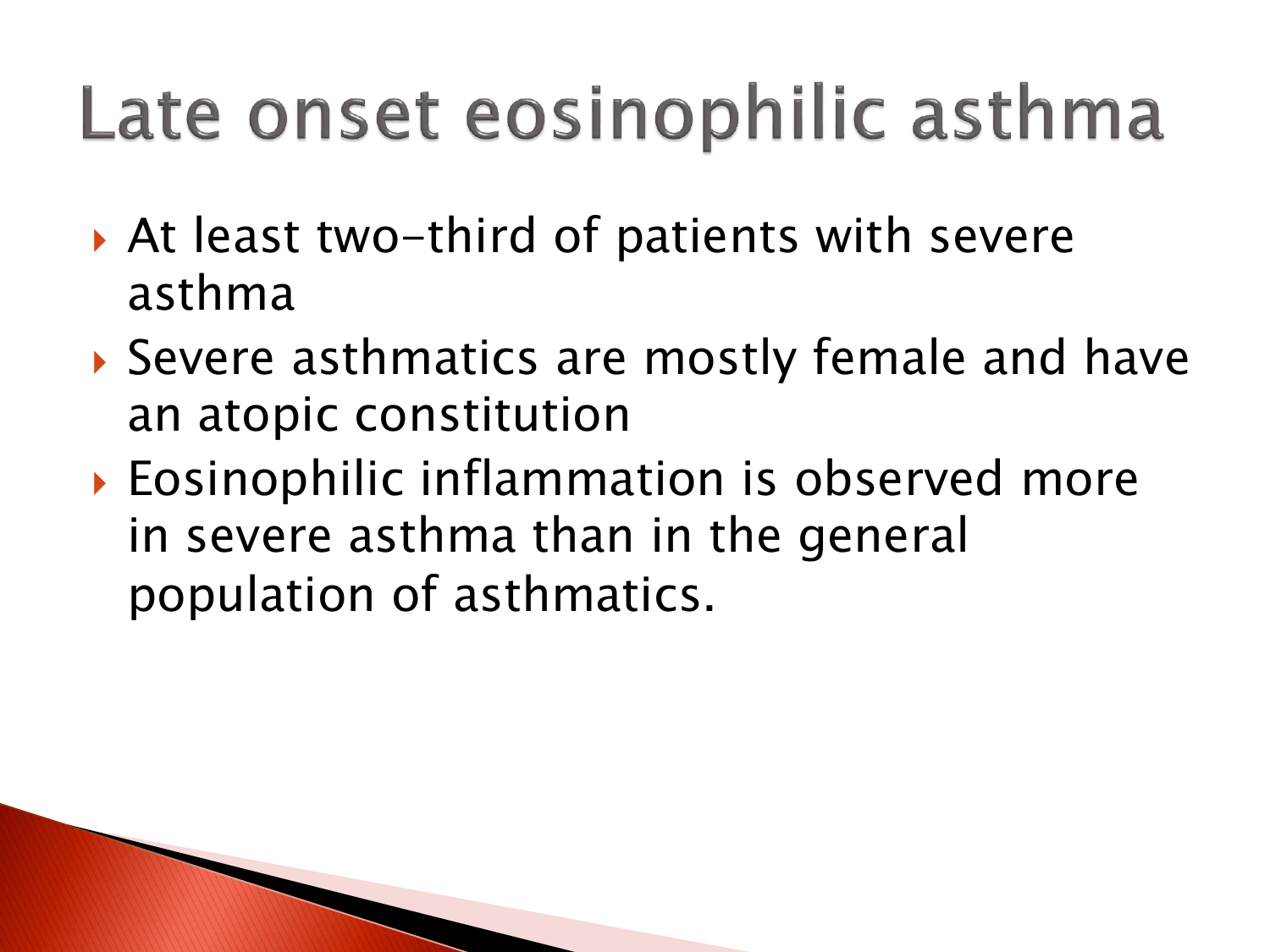## Late onset eosinophilic asthma

- ▶ At least two-third of patients with severe asthma
- Severe asthmatics are mostly female and have an atopic constitution
- Eosinophilic inflammation is observed more in severe asthma than in the general population of asthmatics.

**The Common Seconds**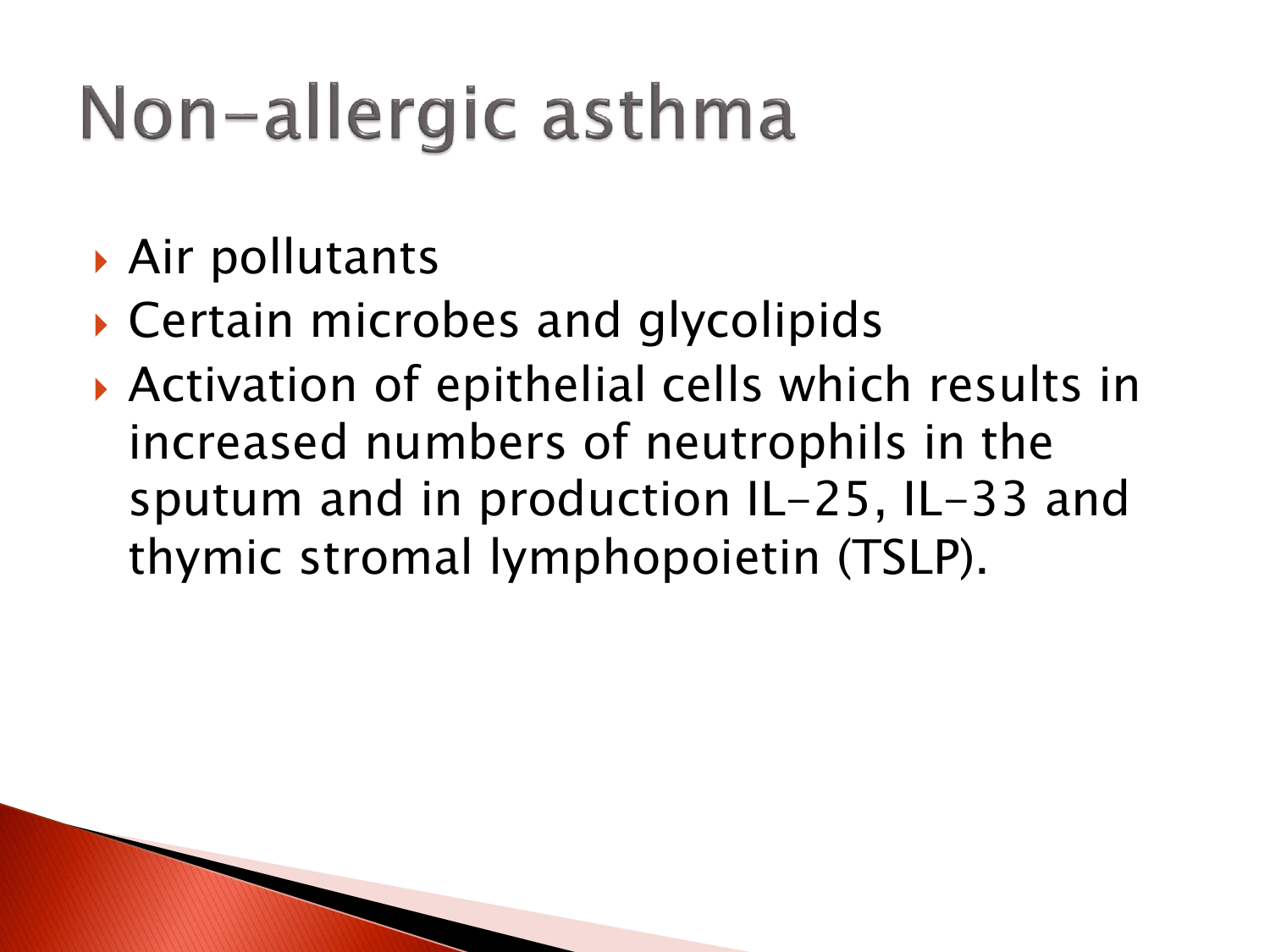## Non-allergic asthma

- Air pollutants
- Certain microbes and glycolipids
- Activation of epithelial cells which results in increased numbers of neutrophils in the sputum and in production IL-25, IL-33 and thymic stromal lymphopoietin (TSLP).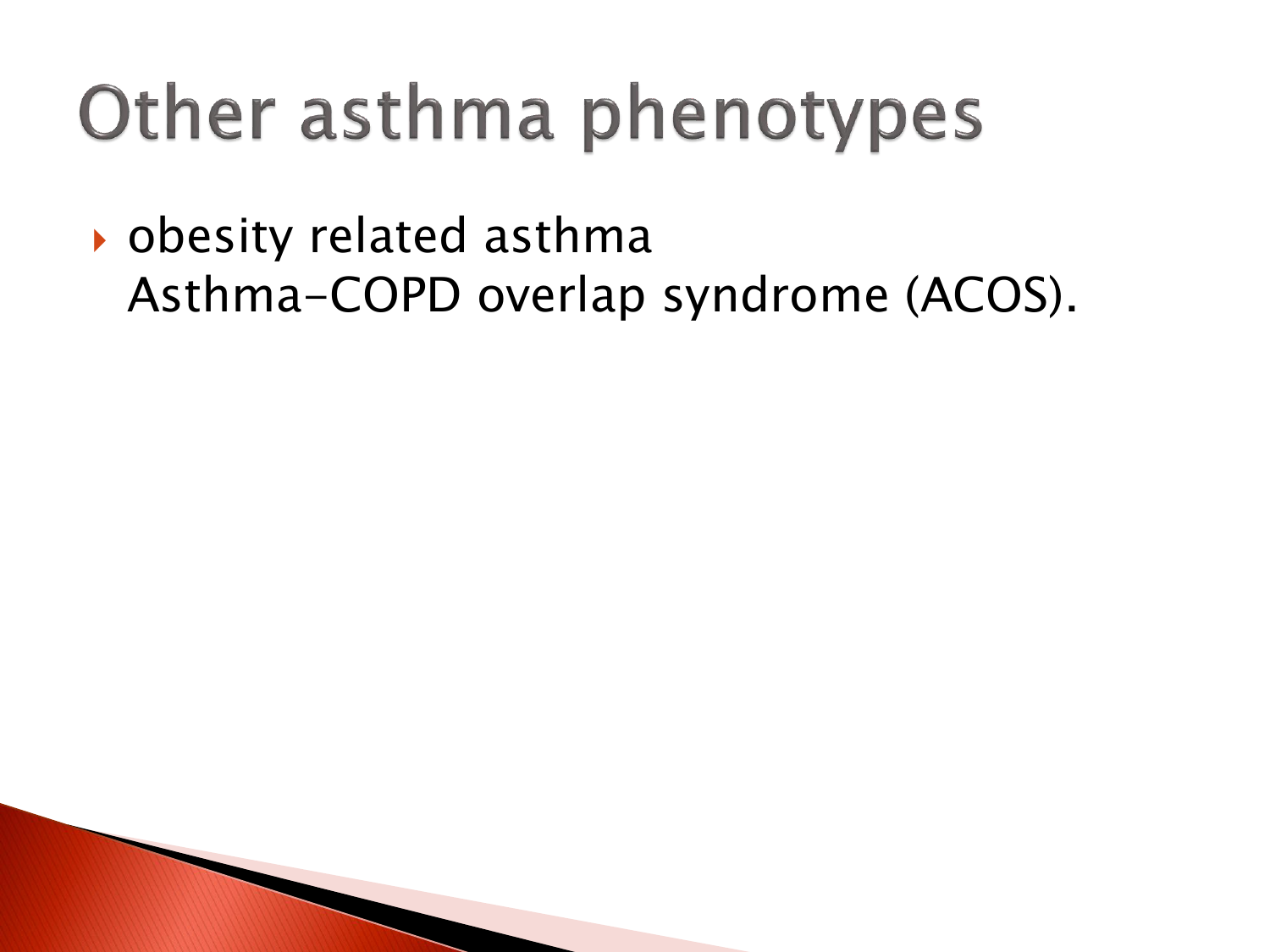## **Other asthma phenotypes**

 obesity related asthma Asthma-COPD overlap syndrome (ACOS).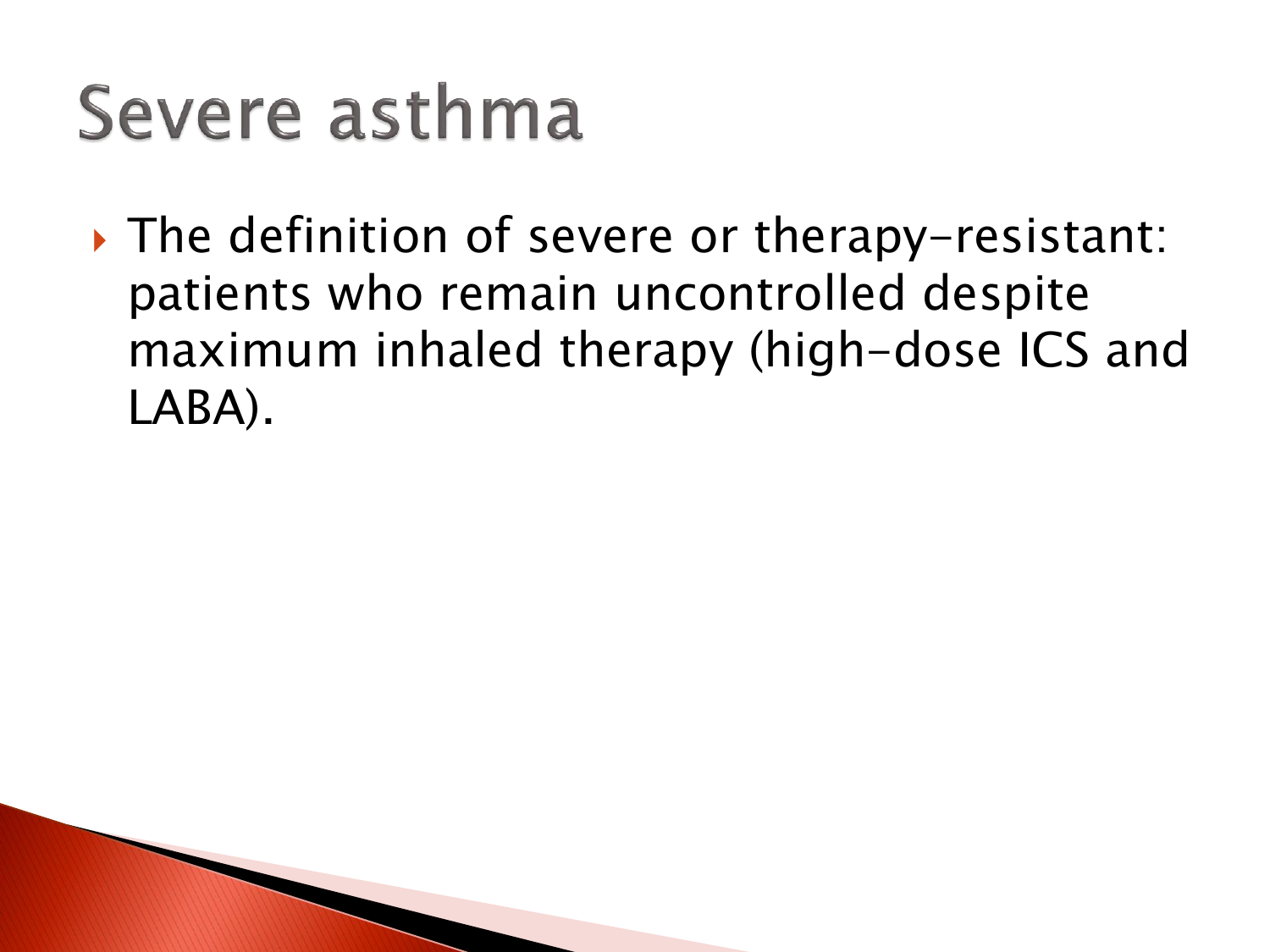#### Severe asthma

▶ The definition of severe or therapy-resistant: patients who remain uncontrolled despite maximum inhaled therapy (high-dose ICS and LABA).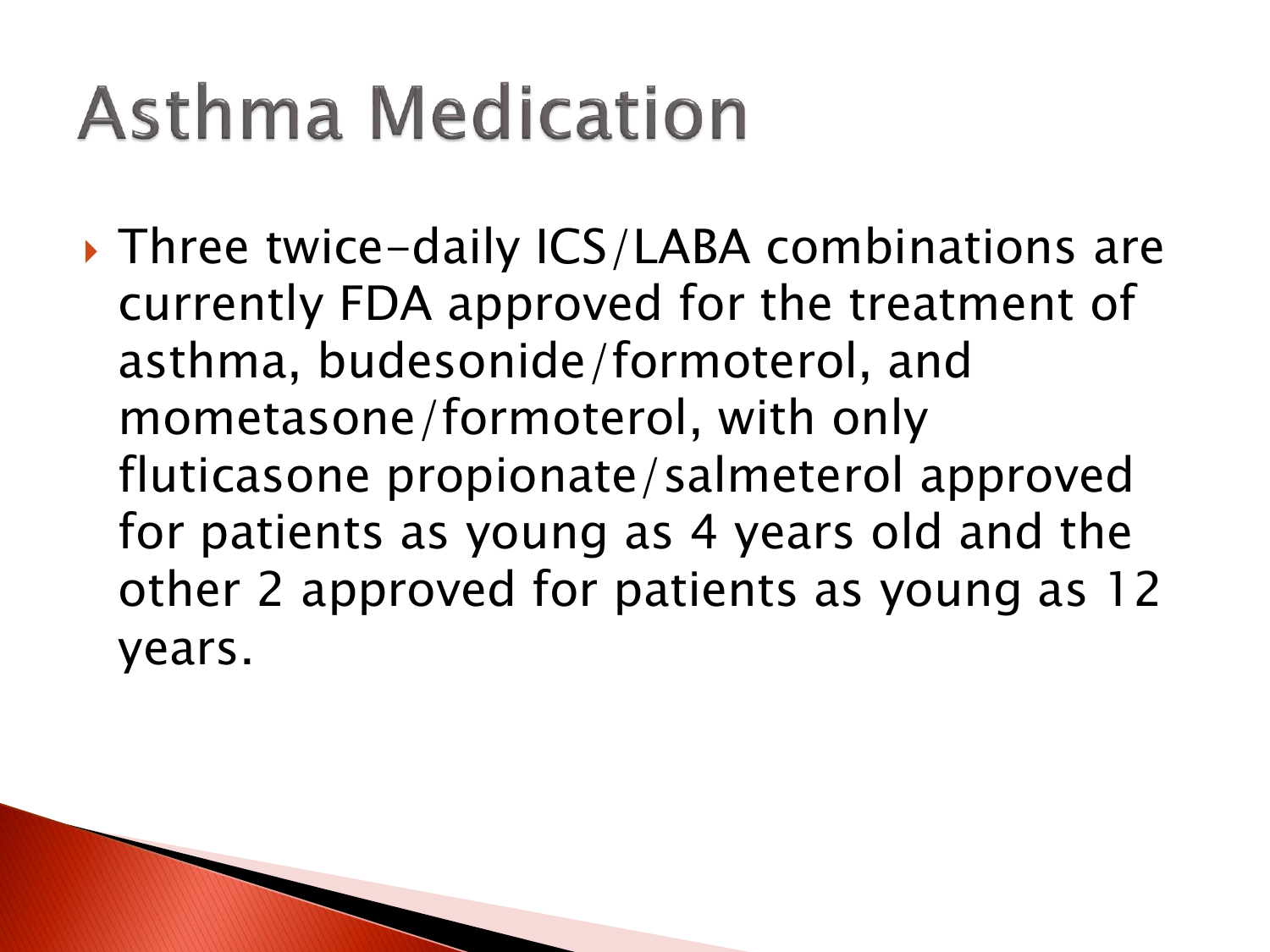## **Asthma Medication**

**The Comment of Comment Comment Comment** 

▶ Three twice-daily ICS/LABA combinations are currently FDA approved for the treatment of asthma, budesonide/formoterol, and mometasone/formoterol, with only fluticasone propionate/salmeterol approved for patients as young as 4 years old and the other 2 approved for patients as young as 12 years.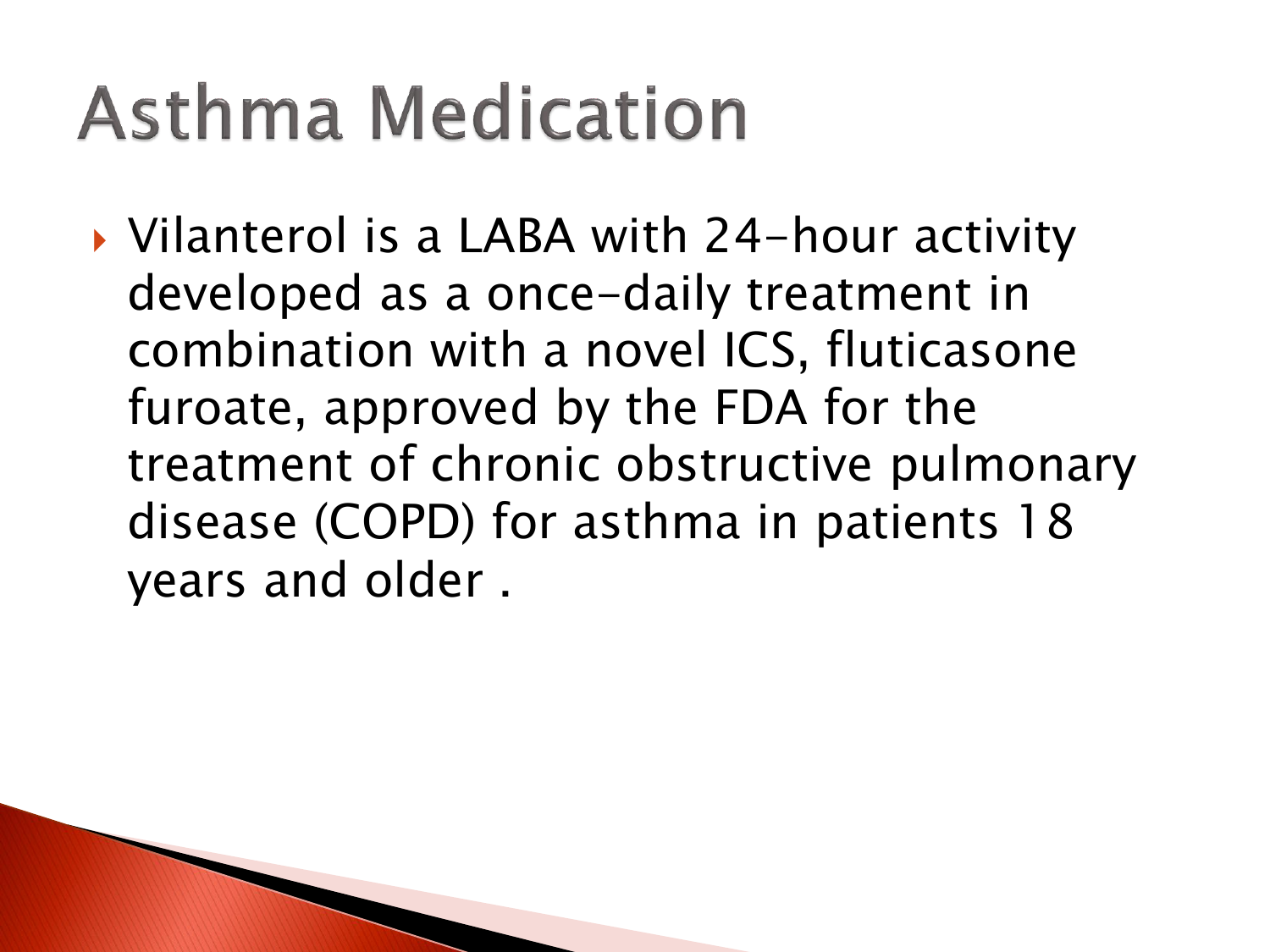## **Asthma Medication**

**The Comment of Comment Comment Comment** 

▶ Vilanterol is a LABA with 24-hour activity developed as a once-daily treatment in combination with a novel ICS, fluticasone furoate, approved by the FDA for the treatment of chronic obstructive pulmonary disease (COPD) for asthma in patients 18 years and older .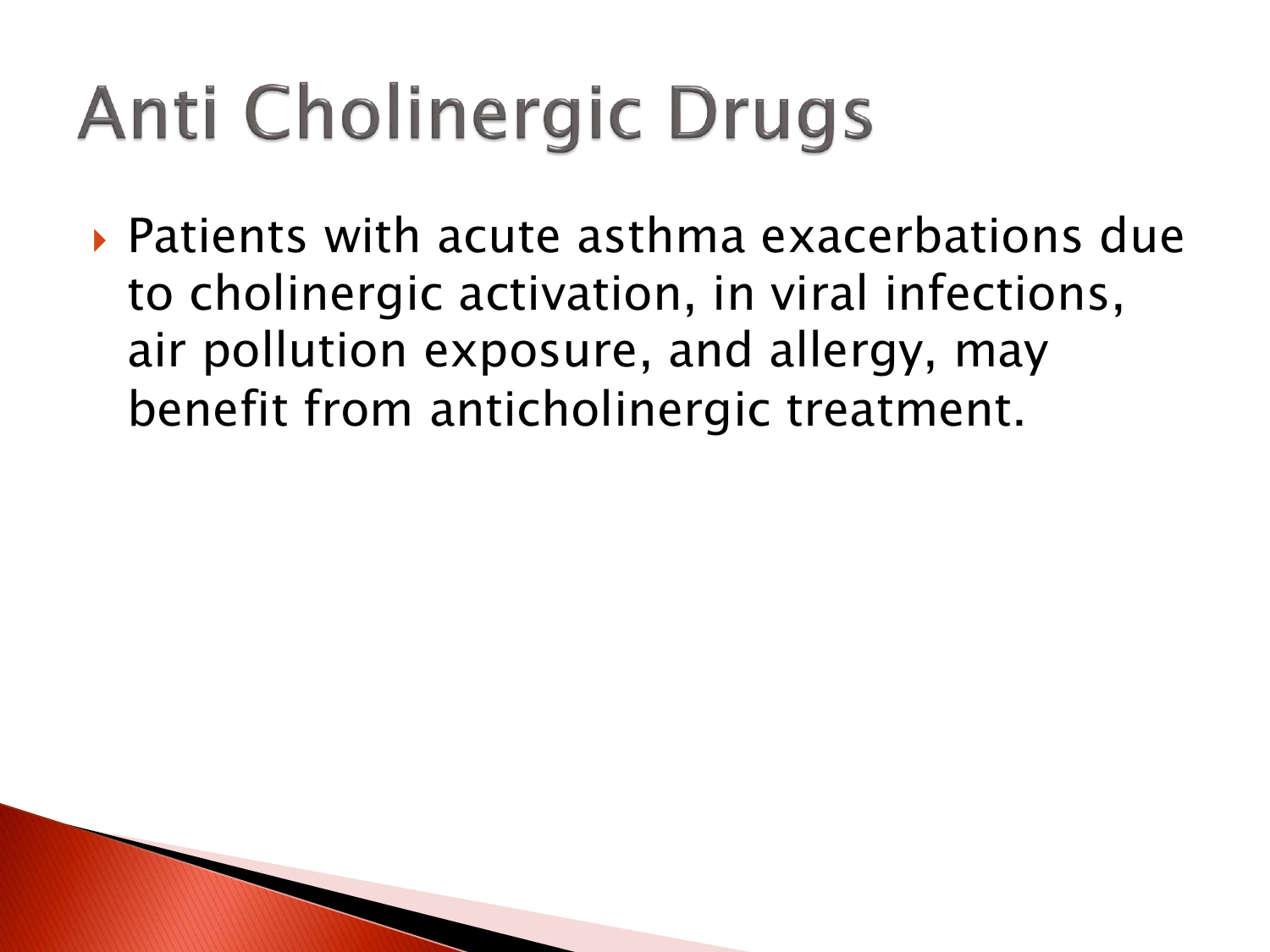## **Anti Cholinergic Drugs**

 Patients with acute asthma exacerbations due to cholinergic activation, in viral infections, air pollution exposure, and allergy, may benefit from anticholinergic treatment.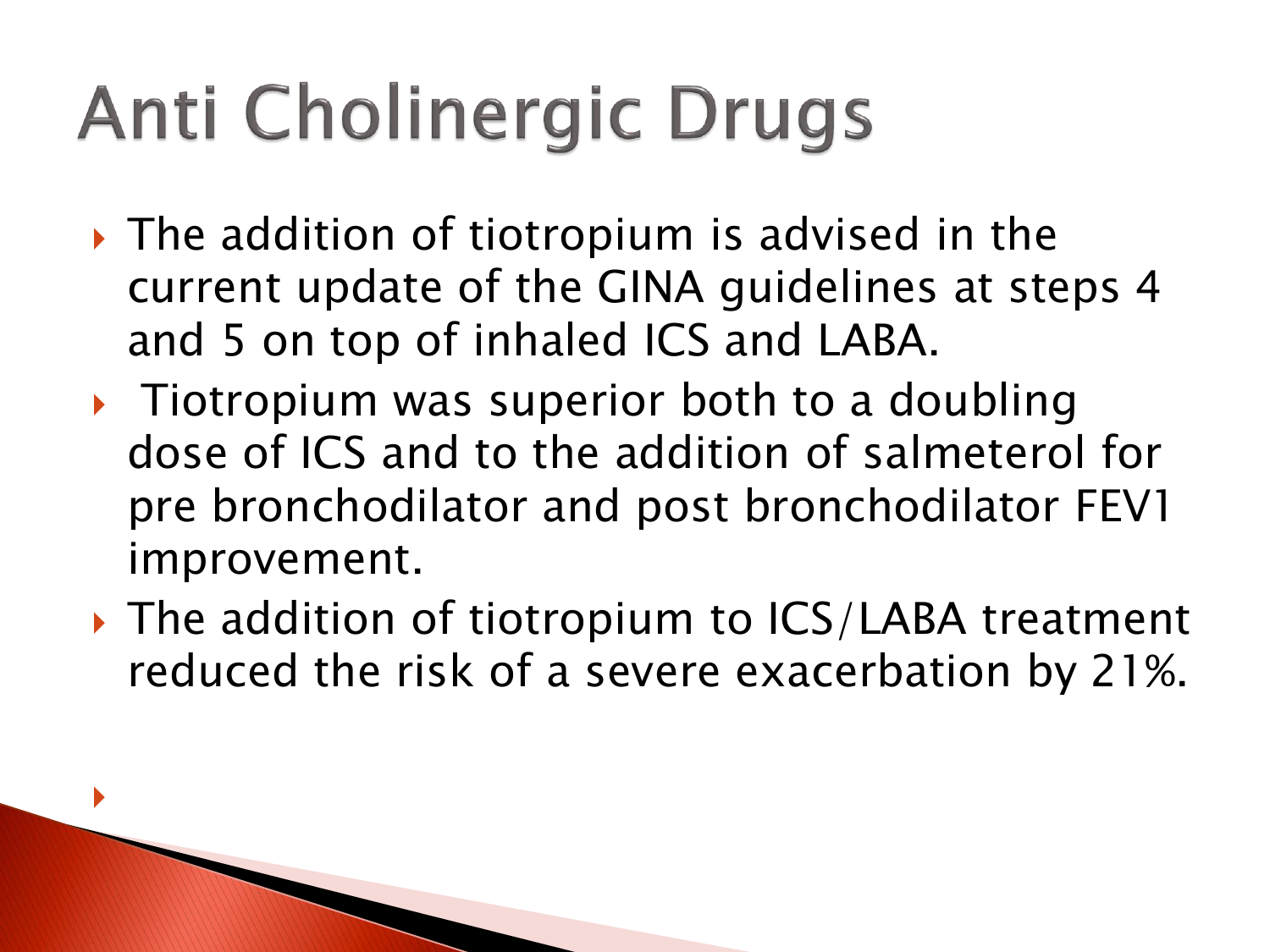## **Anti Cholinergic Drugs**

 $\blacktriangleright$ 

**The Common Seconds** 

- $\rightarrow$  The addition of tiotropium is advised in the current update of the GINA guidelines at steps 4 and 5 on top of inhaled ICS and LABA.
- Tiotropium was superior both to a doubling dose of ICS and to the addition of salmeterol for pre bronchodilator and post bronchodilator FEV1 improvement.
- ▶ The addition of tiotropium to ICS/LABA treatment reduced the risk of a severe exacerbation by 21%.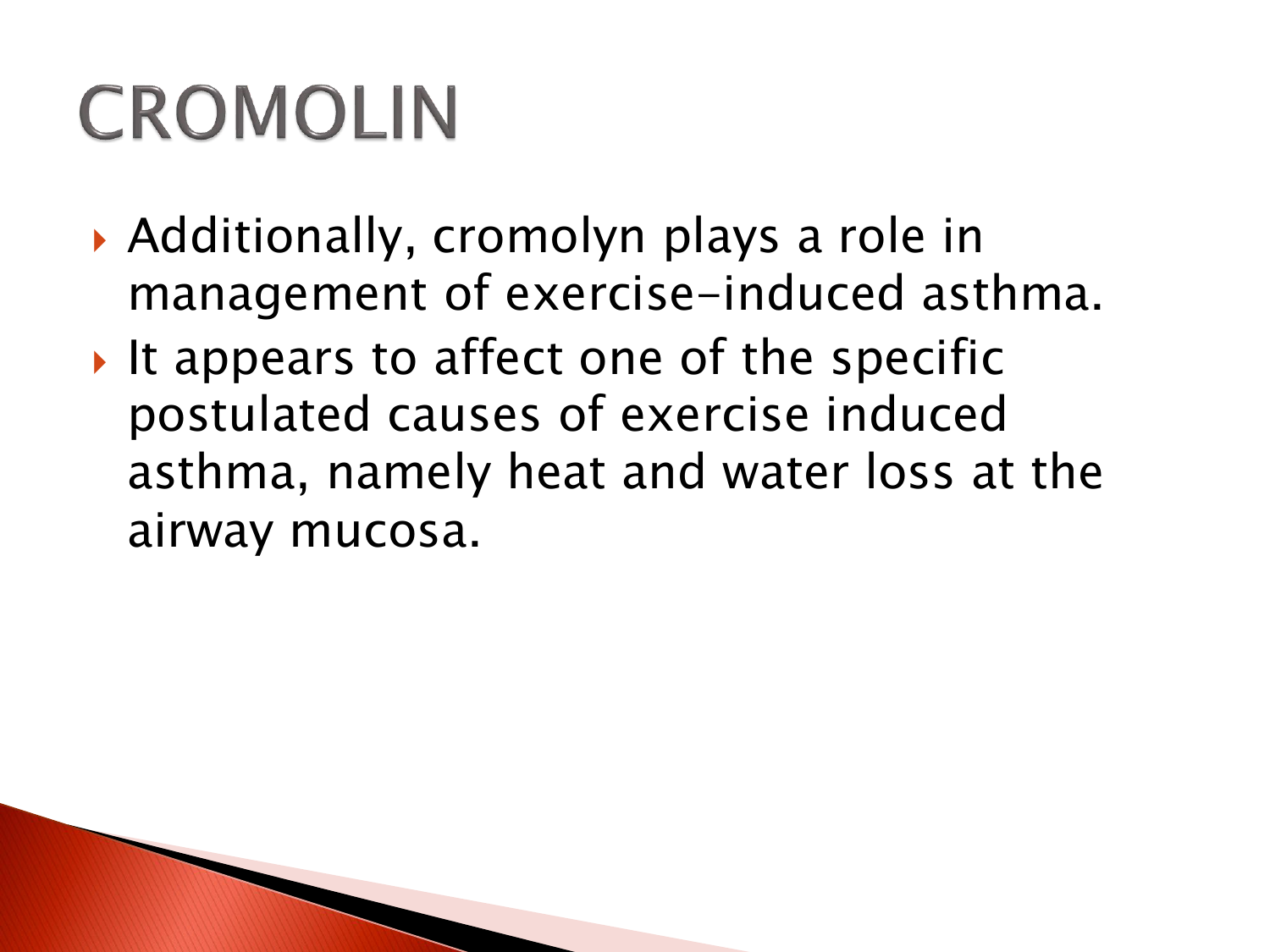## **CROMOLIN**

**The Contract of Contract of Contract of Contract of Contract of Contract of Contract of Contract o** 

- Additionally, cromolyn plays a role in management of exercise-induced asthma.
- It appears to affect one of the specific postulated causes of exercise induced asthma, namely heat and water loss at the airway mucosa.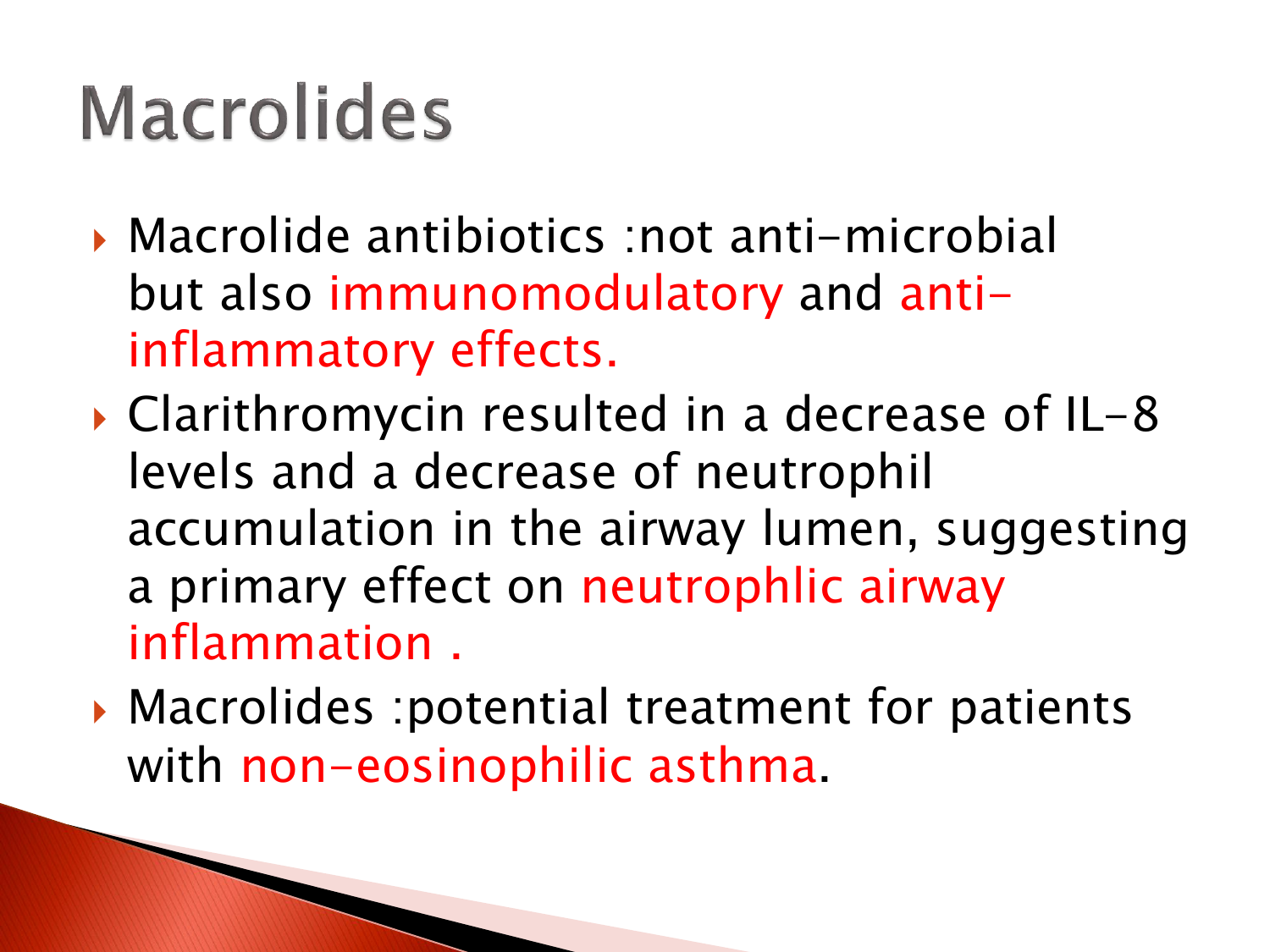## **Macrolides**

**The Common Seconds** 

- Macrolide antibiotics :not anti-microbial but also immunomodulatory and antiinflammatory effects.
- Clarithromycin resulted in a decrease of IL-8 levels and a decrease of neutrophil accumulation in the airway lumen, suggesting a primary effect on neutrophlic airway inflammation .
- Macrolides :potential treatment for patients with non-eosinophilic asthma.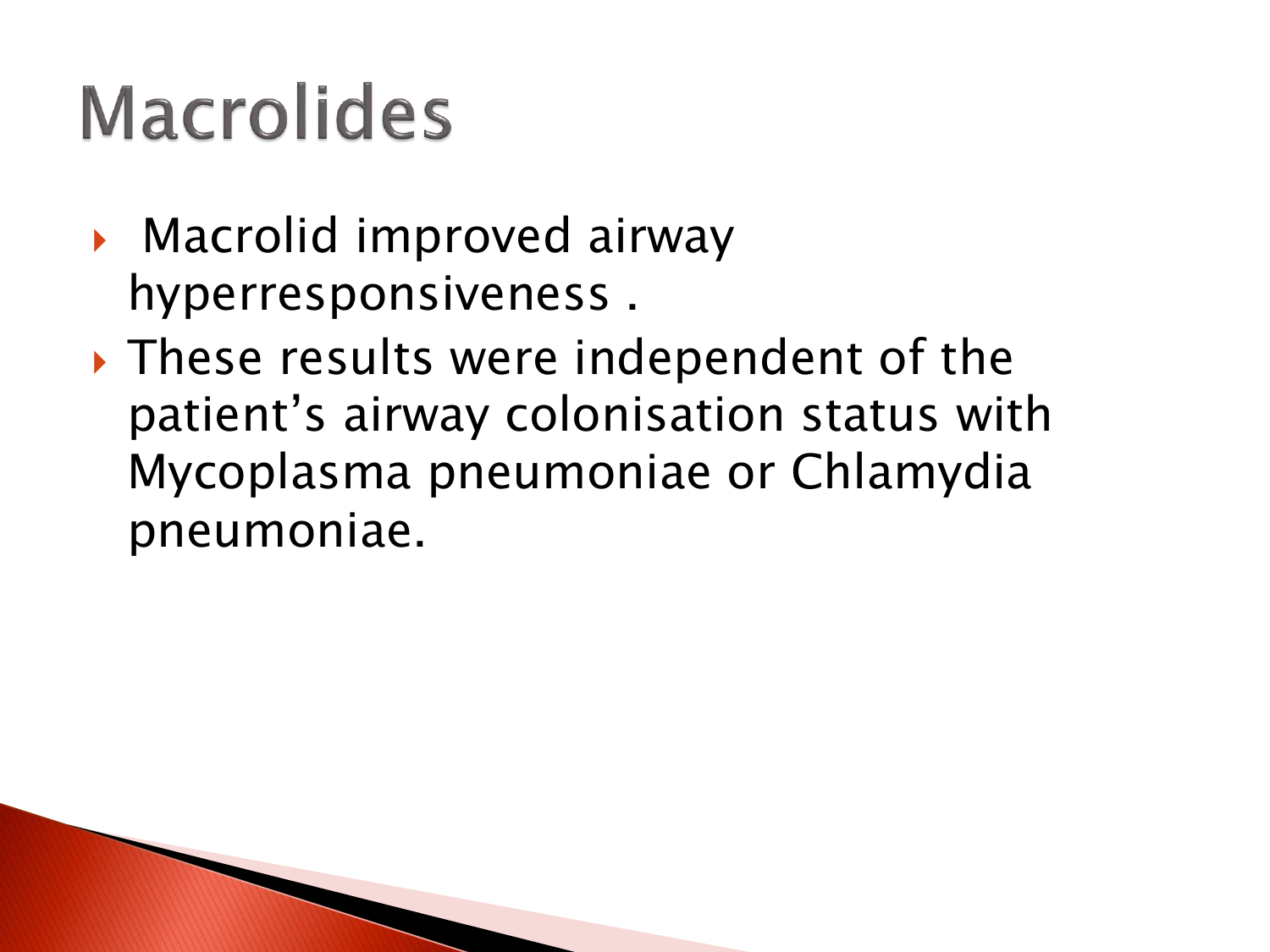## **Macrolides**

- **Macrolid improved airway** hyperresponsiveness .
- These results were independent of the patient's airway colonisation status with Mycoplasma pneumoniae or Chlamydia pneumoniae.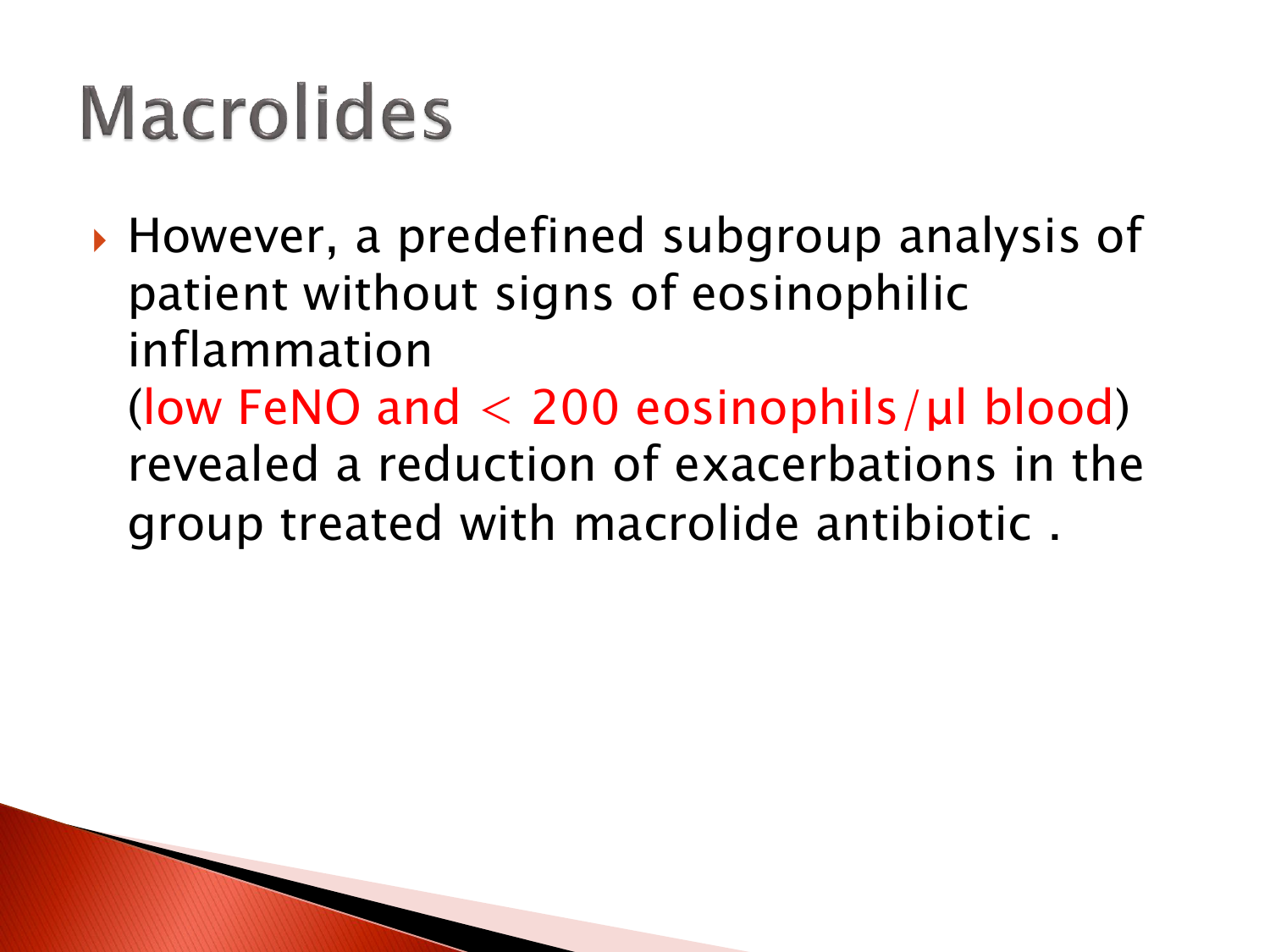## **Macrolides**

▶ However, a predefined subgroup analysis of patient without signs of eosinophilic inflammation (low FeNO and  $<$  200 eosinophils/ul blood) revealed a reduction of exacerbations in the group treated with macrolide antibiotic .

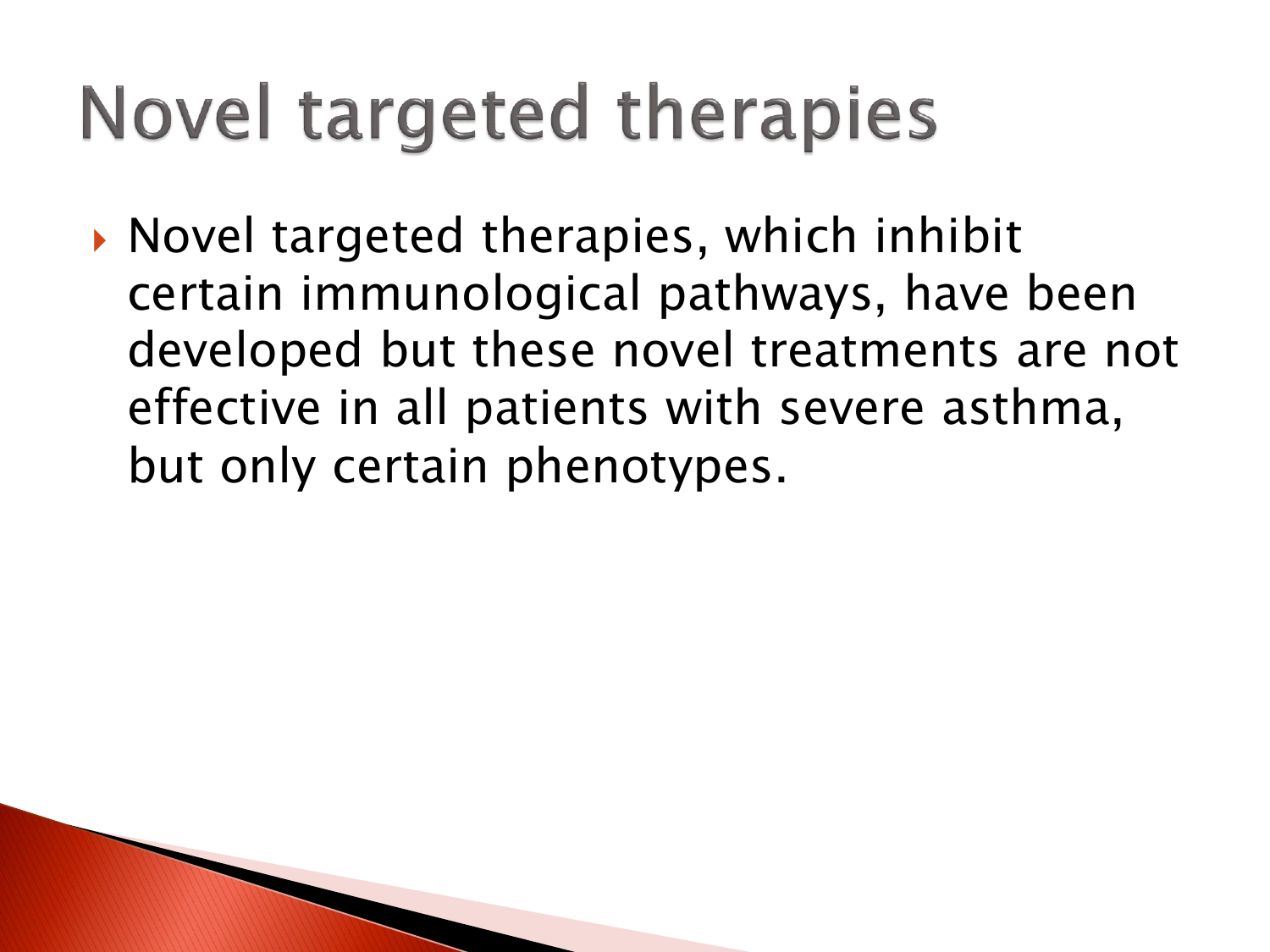## Novel targeted therapies

▶ Novel targeted therapies, which inhibit certain immunological pathways, have been developed but these novel treatments are not effective in all patients with severe asthma, but only certain phenotypes.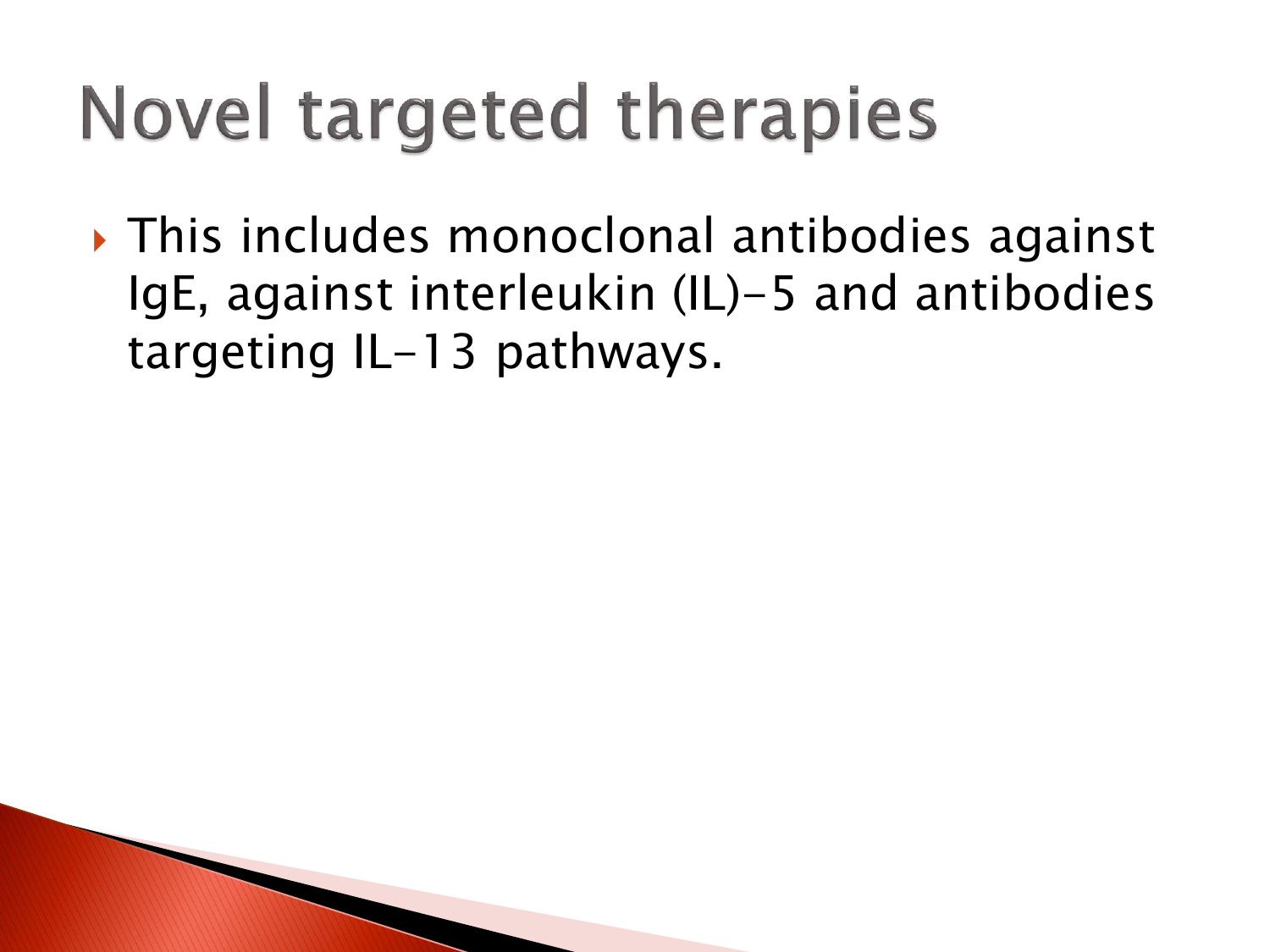## **Novel targeted therapies**

▶ This includes monoclonal antibodies against IgE, against interleukin (IL)-5 and antibodies targeting IL-13 pathways.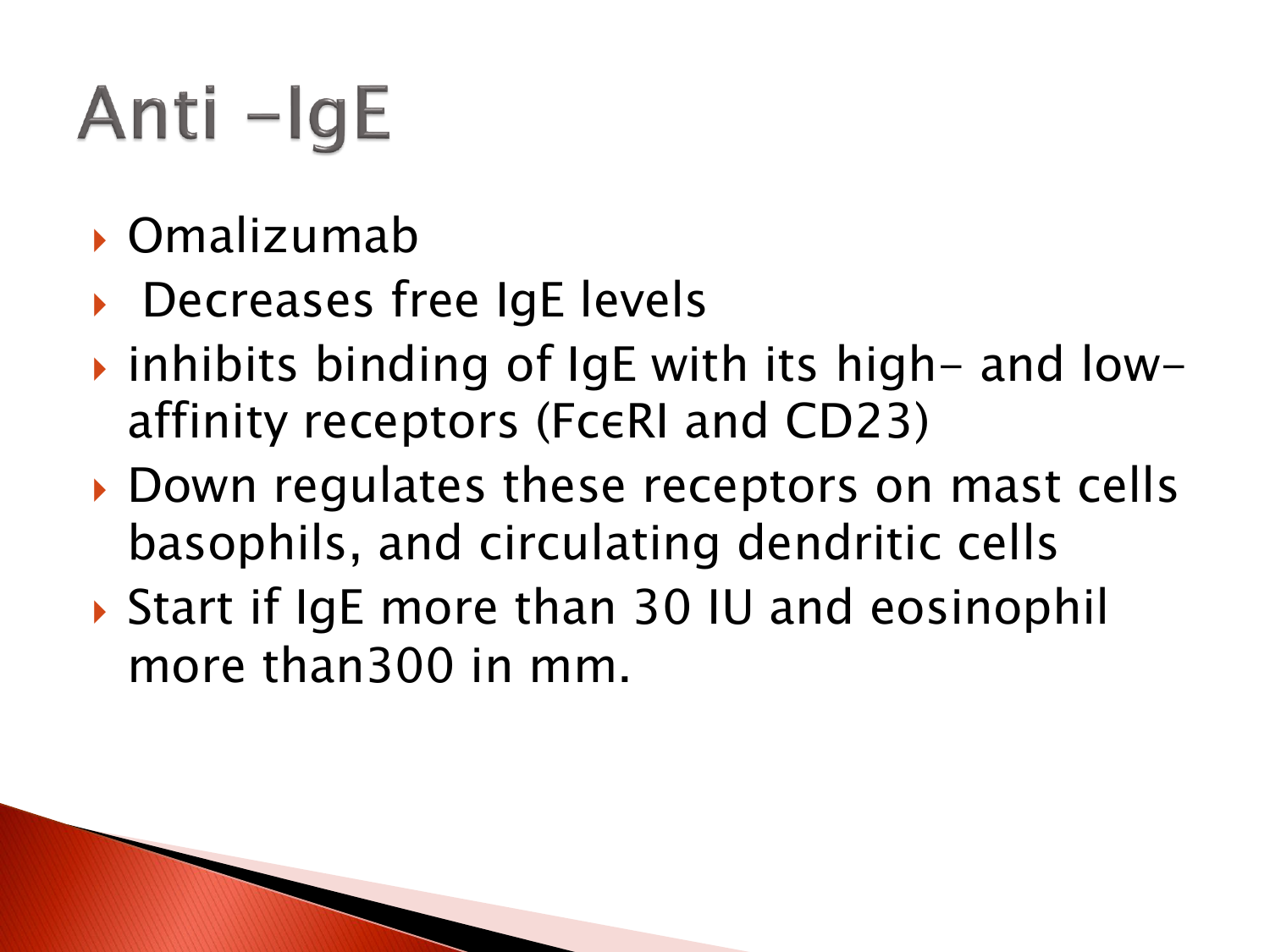# Anti-IgE

- Omalizumab
- ▶ Decreases free IgE levels

**The Comment of Comment Comment Comment** 

- inhibits binding of IgE with its high- and lowaffinity receptors (FcεRI and CD23)
- ▶ Down regulates these receptors on mast cells basophils, and circulating dendritic cells
- ▶ Start if IgE more than 30 IU and eosinophil more than300 in mm.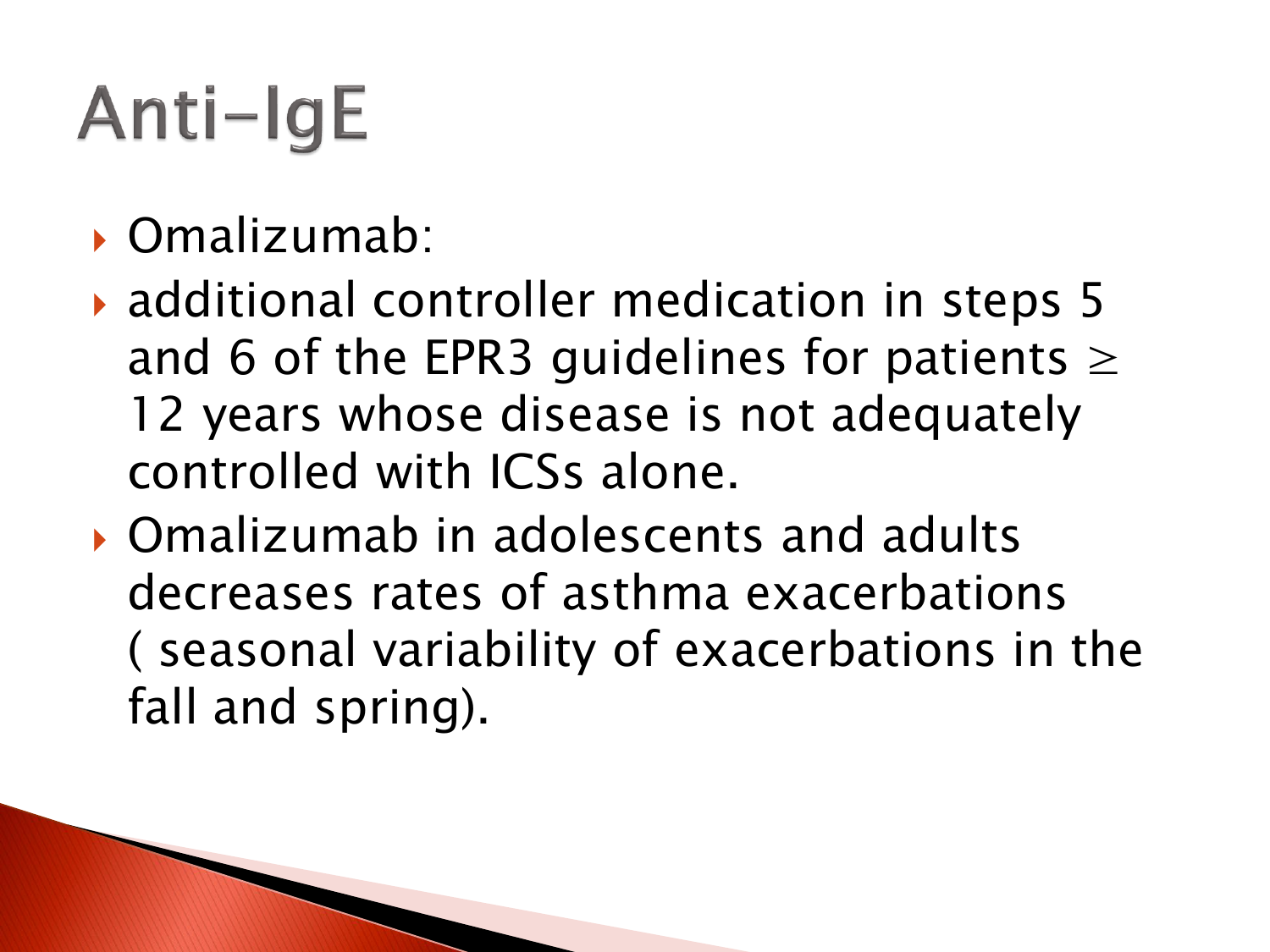## Anti-IgE

- Omalizumab:
- **▶ additional controller medication in steps 5** and 6 of the EPR3 guidelines for patients  $\geq$ 12 years whose disease is not adequately controlled with ICSs alone.
- Omalizumab in adolescents and adults decreases rates of asthma exacerbations ( seasonal variability of exacerbations in the fall and spring).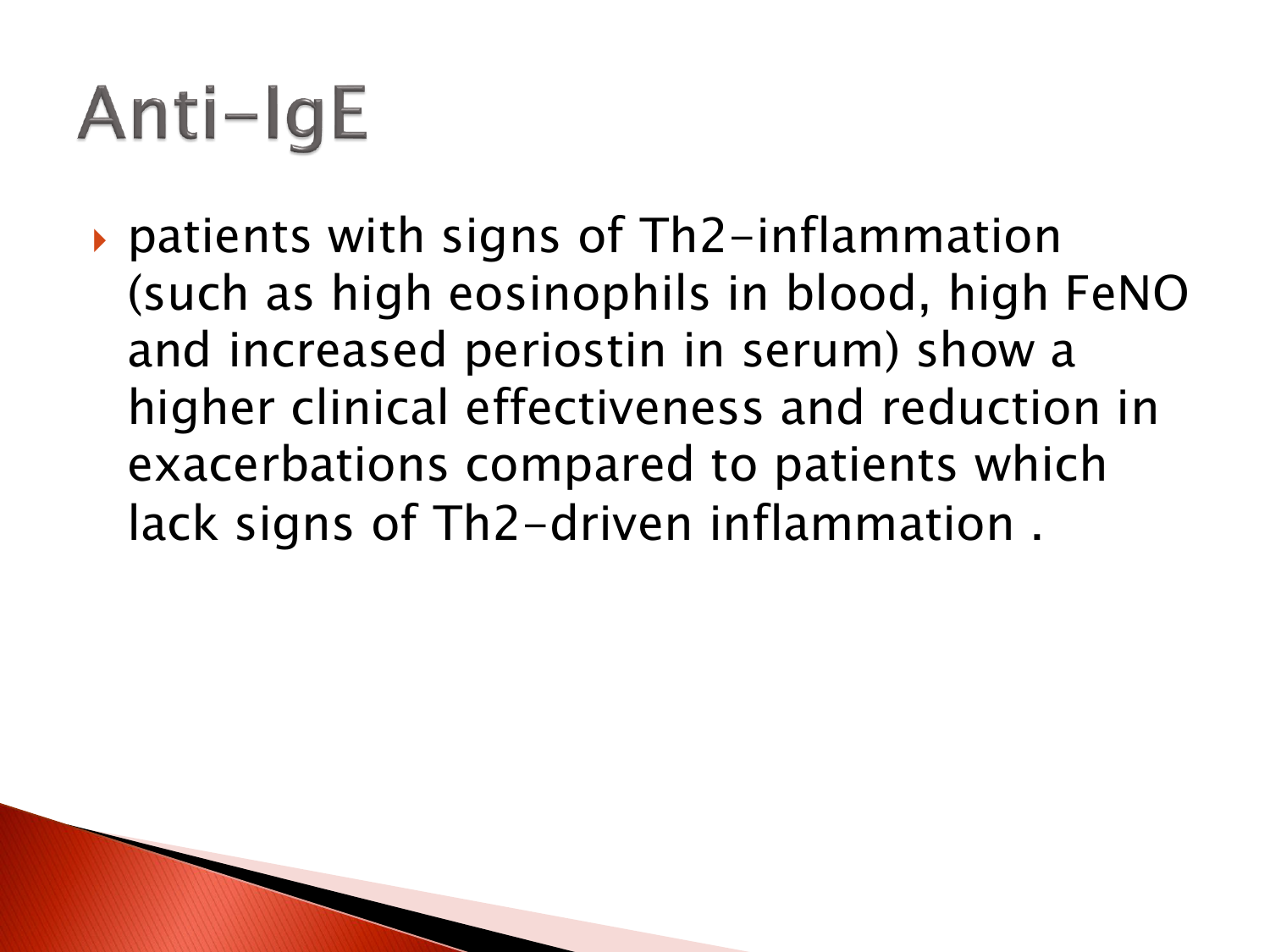## Anti-IgE

▶ patients with signs of Th2-inflammation (such as high eosinophils in blood, high FeNO and increased periostin in serum) show a higher clinical effectiveness and reduction in exacerbations compared to patients which lack signs of Th2-driven inflammation .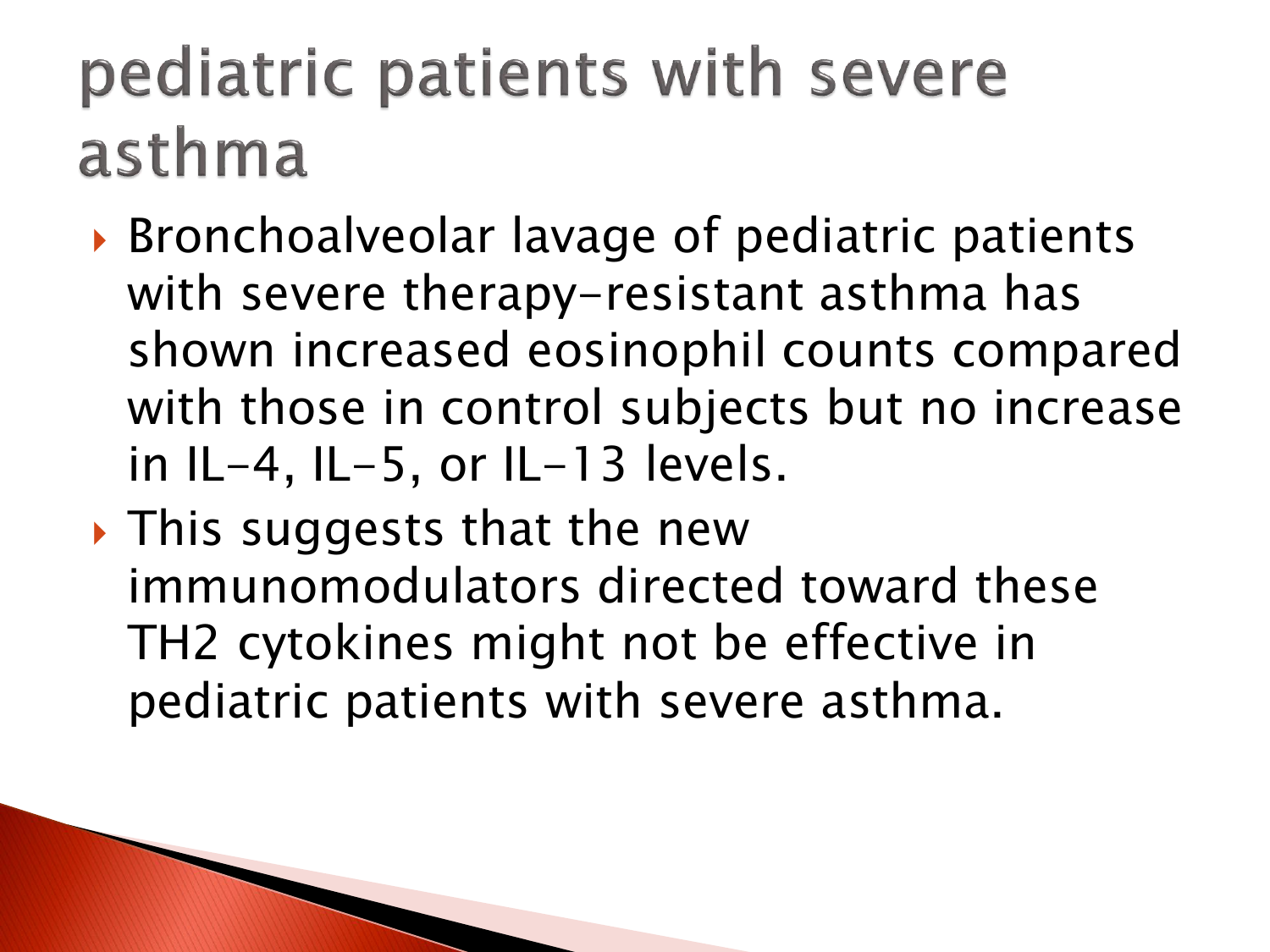#### pediatric patients with severe asthma

- ▶ Bronchoalveolar lavage of pediatric patients with severe therapy-resistant asthma has shown increased eosinophil counts compared with those in control subjects but no increase in IL-4, IL-5, or IL-13 levels.
- **This suggests that the new** immunomodulators directed toward these TH2 cytokines might not be effective in pediatric patients with severe asthma.

**The Common Second Service**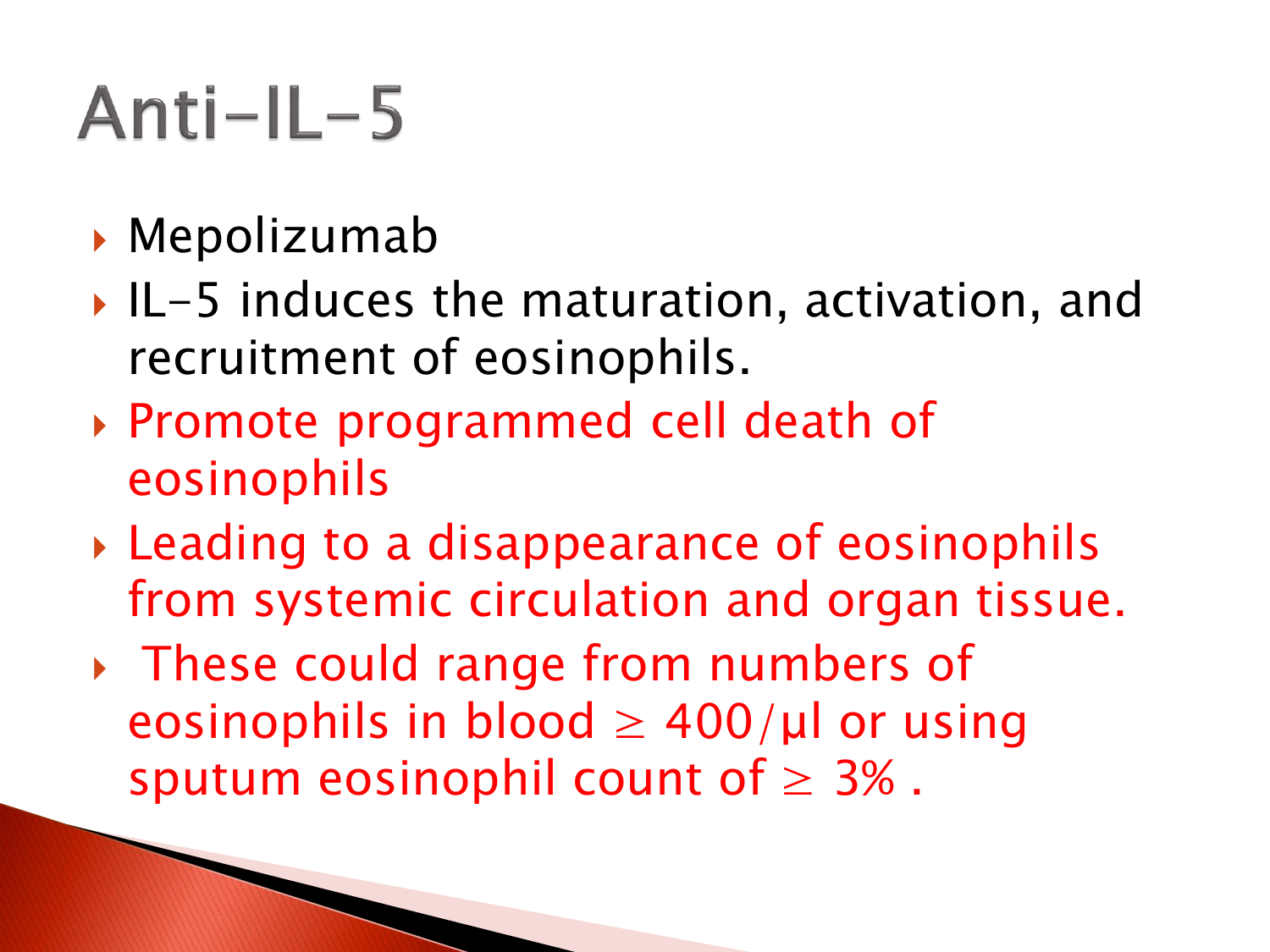## $Anti-IL-5$

- Mepolizumab
- ▶ IL-5 induces the maturation, activation, and recruitment of eosinophils.
- Promote programmed cell death of eosinophils
- Leading to a disappearance of eosinophils from systemic circulation and organ tissue.
- These could range from numbers of eosinophils in blood  $\geq$  400/µl or using sputum eosinophil count of  $\geq 3\%$ .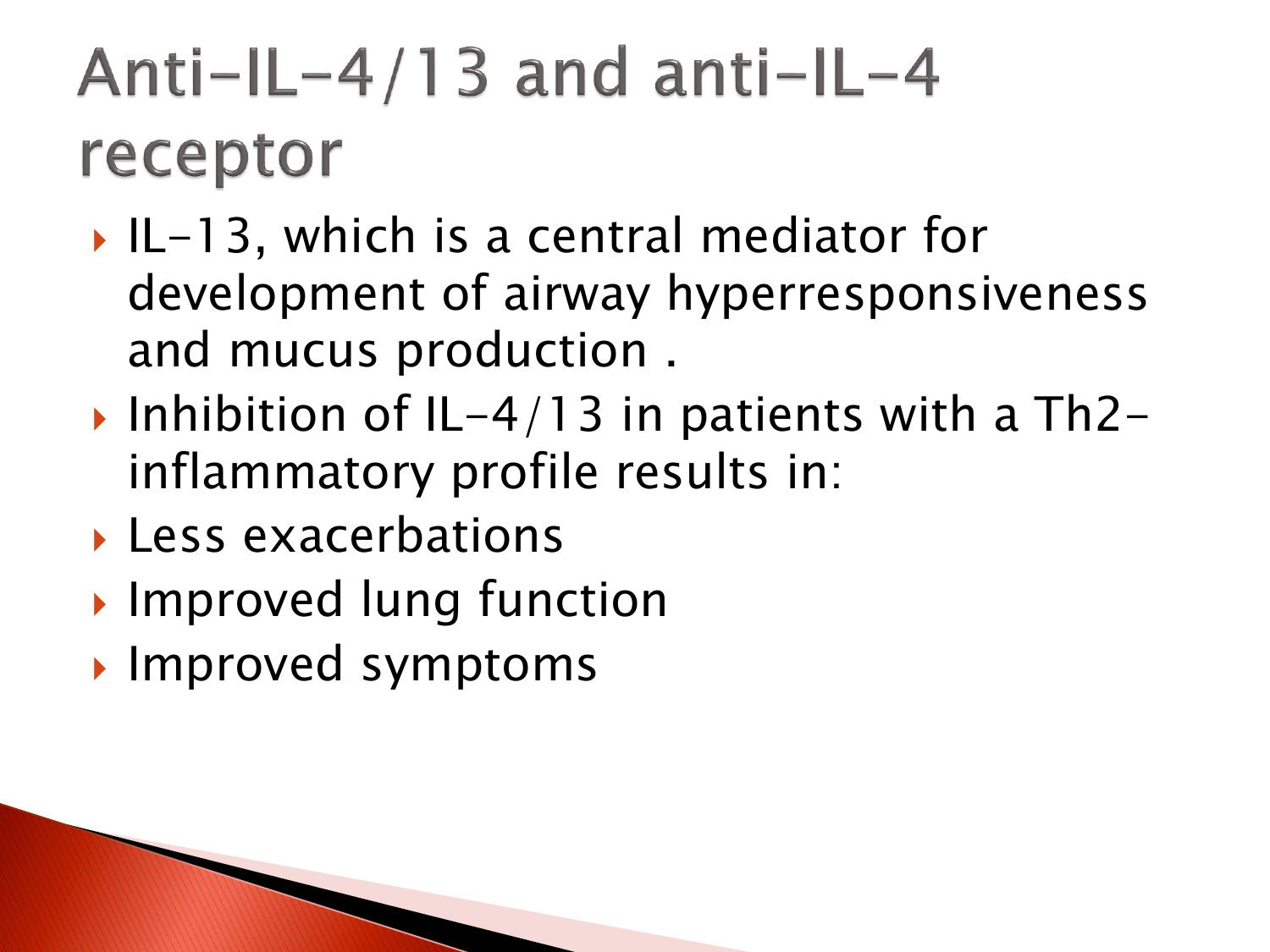#### Anti-IL-4/13 and anti-IL-4 receptor

- $\blacktriangleright$  IL-13, which is a central mediator for development of airway hyperresponsiveness and mucus production .
- Inhibition of IL-4/13 in patients with a Th2inflammatory profile results in:
- Less exacerbations
- **Improved lung function**
- Improved symptoms

**The Common Seconds**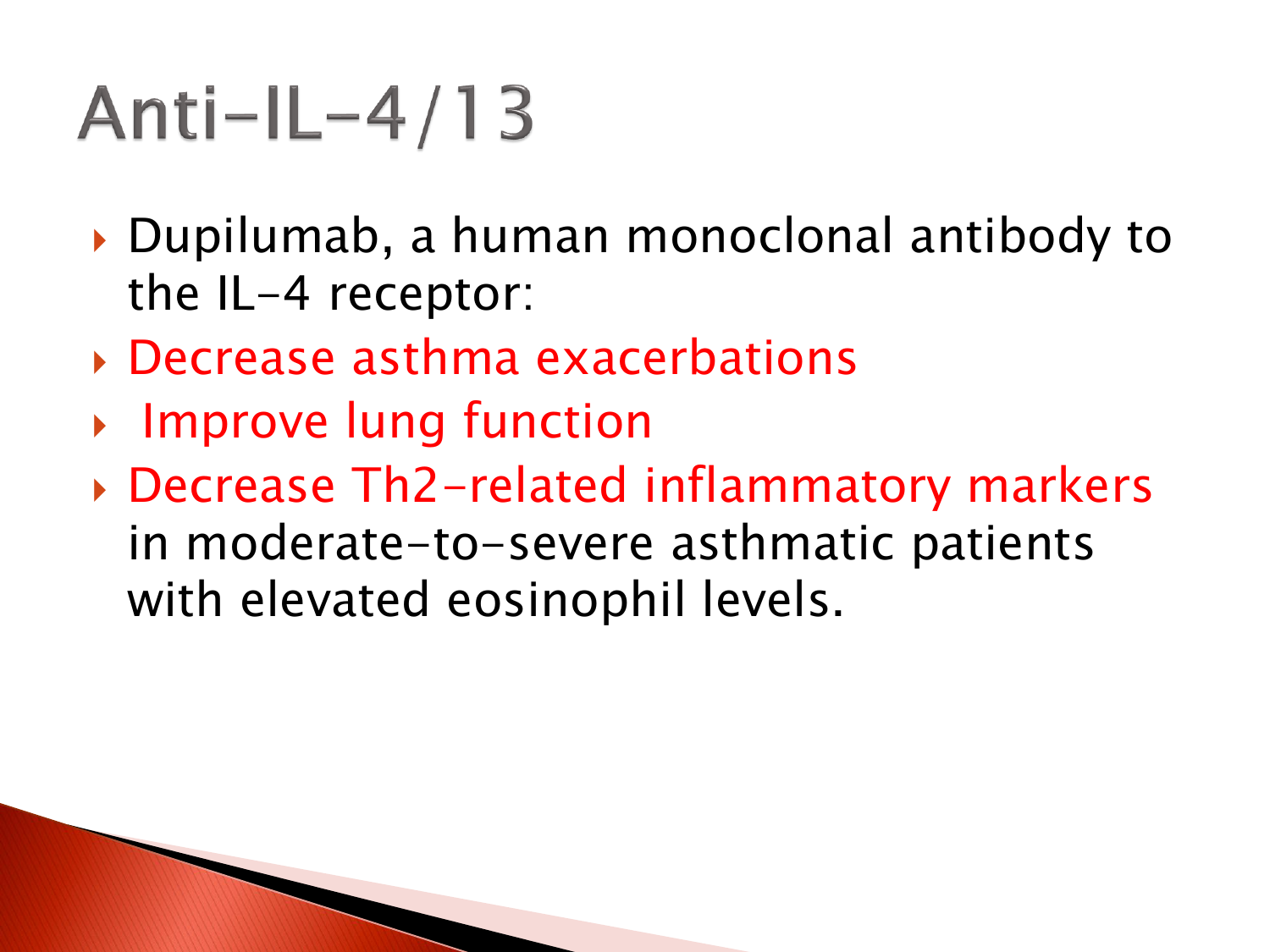## Anti-IL-4/13

- Dupilumab, a human monoclonal antibody to the IL-4 receptor:
- Decrease asthma exacerbations
- **Improve lung function**
- Decrease Th2-related inflammatory markers in moderate-to-severe asthmatic patients with elevated eosinophil levels.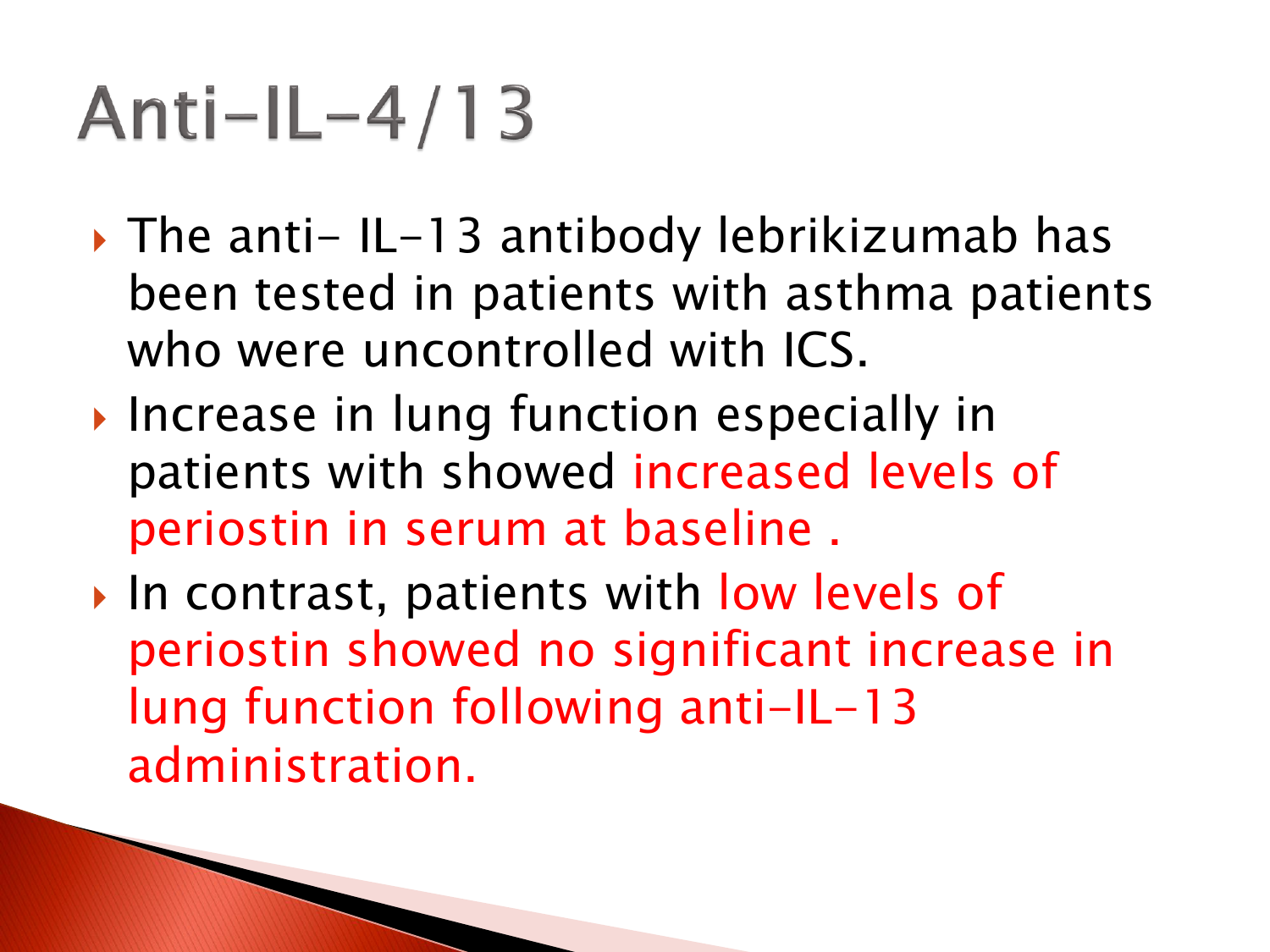## Anti-IL-4/13

**The Common Seconds** 

- $\rightarrow$  The anti- IL-13 antibody lebrikizumab has been tested in patients with asthma patients who were uncontrolled with ICS.
- **Increase in lung function especially in** patients with showed increased levels of periostin in serum at baseline .
- In contrast, patients with low levels of periostin showed no significant increase in lung function following anti-IL-13 administration.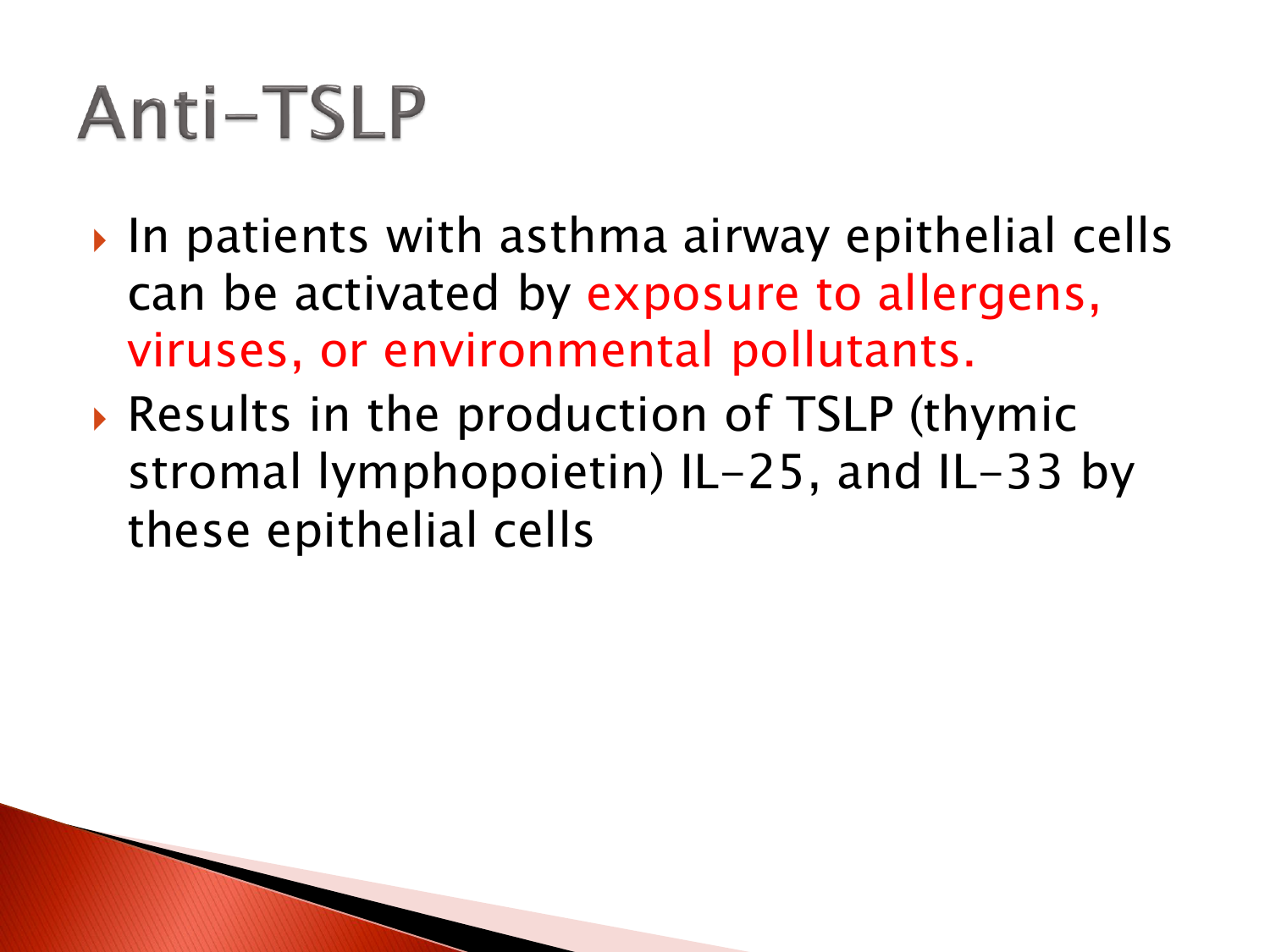## Anti-TSLP

- $\triangleright$  In patients with asthma airway epithelial cells can be activated by exposure to allergens, viruses, or environmental pollutants.
- Results in the production of TSLP (thymic stromal lymphopoietin) IL-25, and IL-33 by these epithelial cells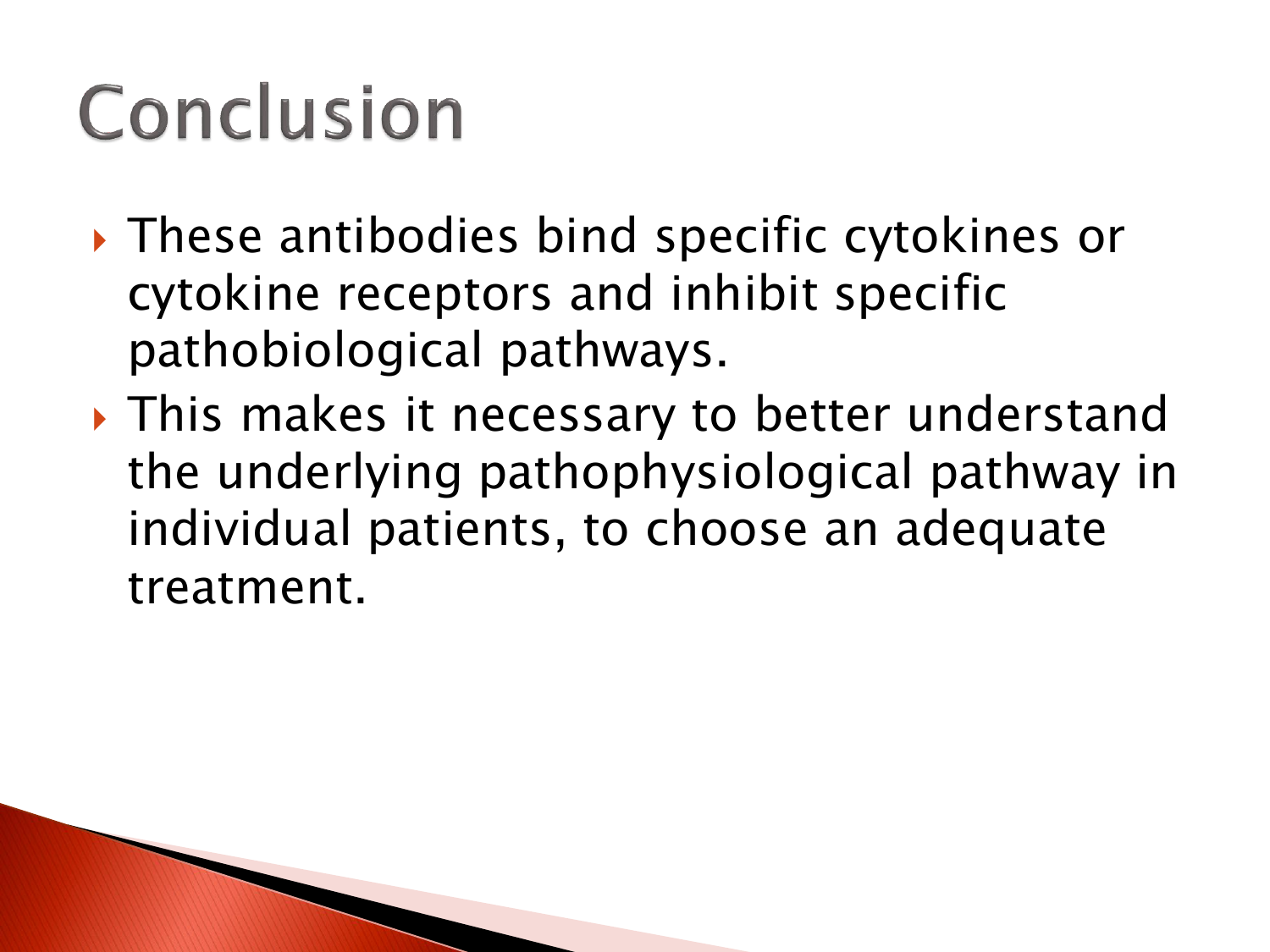## Conclusion

- ▶ These antibodies bind specific cytokines or cytokine receptors and inhibit specific pathobiological pathways.
- ▶ This makes it necessary to better understand the underlying pathophysiological pathway in individual patients, to choose an adequate treatment.